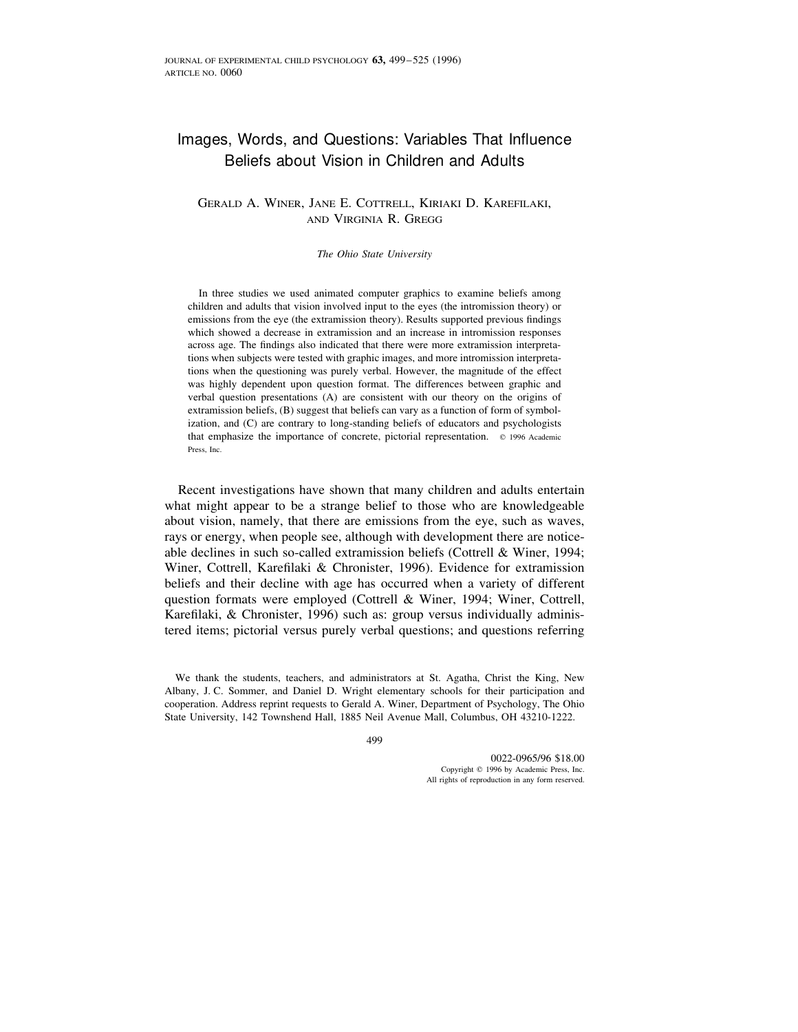# Images, Words, and Questions: Variables That Influence Beliefs about Vision in Children and Adults

GERALD A. WINER, JANE E. COTTRELL, KIRIAKI D. KAREFILAKI, AND VIRGINIA R. GREGG

*The Ohio State University*

In three studies we used animated computer graphics to examine beliefs among children and adults that vision involved input to the eyes (the intromission theory) or emissions from the eye (the extramission theory). Results supported previous findings which showed a decrease in extramission and an increase in intromission responses across age. The findings also indicated that there were more extramission interpretations when subjects were tested with graphic images, and more intromission interpretations when the questioning was purely verbal. However, the magnitude of the effect was highly dependent upon question format. The differences between graphic and verbal question presentations (A) are consistent with our theory on the origins of extramission beliefs, (B) suggest that beliefs can vary as a function of form of symbolization, and (C) are contrary to long-standing beliefs of educators and psychologists that emphasize the importance of concrete, pictorial representation.  $\circ$  1996 Academic Press, Inc.

Recent investigations have shown that many children and adults entertain what might appear to be a strange belief to those who are knowledgeable about vision, namely, that there are emissions from the eye, such as waves, rays or energy, when people see, although with development there are noticeable declines in such so-called extramission beliefs (Cottrell & Winer, 1994; Winer, Cottrell, Karefilaki & Chronister, 1996). Evidence for extramission beliefs and their decline with age has occurred when a variety of different question formats were employed (Cottrell & Winer, 1994; Winer, Cottrell, Karefilaki, & Chronister, 1996) such as: group versus individually administered items; pictorial versus purely verbal questions; and questions referring

We thank the students, teachers, and administrators at St. Agatha, Christ the King, New Albany, J. C. Sommer, and Daniel D. Wright elementary schools for their participation and cooperation. Address reprint requests to Gerald A. Winer, Department of Psychology, The Ohio State University, 142 Townshend Hall, 1885 Neil Avenue Mall, Columbus, OH 43210-1222.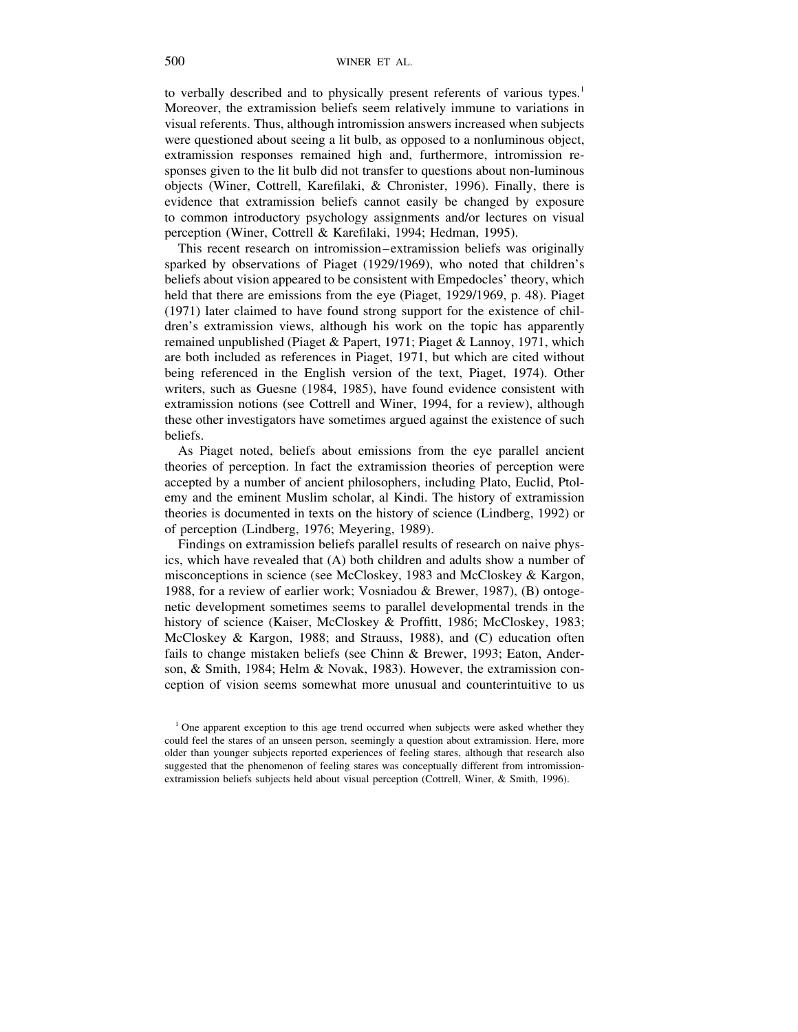to verbally described and to physically present referents of various types.<sup>1</sup> Moreover, the extramission beliefs seem relatively immune to variations in visual referents. Thus, although intromission answers increased when subjects were questioned about seeing a lit bulb, as opposed to a nonluminous object, extramission responses remained high and, furthermore, intromission responses given to the lit bulb did not transfer to questions about non-luminous objects (Winer, Cottrell, Karefilaki, & Chronister, 1996). Finally, there is evidence that extramission beliefs cannot easily be changed by exposure to common introductory psychology assignments and/or lectures on visual perception (Winer, Cottrell & Karefilaki, 1994; Hedman, 1995).

This recent research on intromission–extramission beliefs was originally sparked by observations of Piaget (1929/1969), who noted that children's beliefs about vision appeared to be consistent with Empedocles' theory, which held that there are emissions from the eye (Piaget, 1929/1969, p. 48). Piaget (1971) later claimed to have found strong support for the existence of children's extramission views, although his work on the topic has apparently remained unpublished (Piaget & Papert, 1971; Piaget & Lannoy, 1971, which are both included as references in Piaget, 1971, but which are cited without being referenced in the English version of the text, Piaget, 1974). Other writers, such as Guesne (1984, 1985), have found evidence consistent with extramission notions (see Cottrell and Winer, 1994, for a review), although these other investigators have sometimes argued against the existence of such beliefs.

As Piaget noted, beliefs about emissions from the eye parallel ancient theories of perception. In fact the extramission theories of perception were accepted by a number of ancient philosophers, including Plato, Euclid, Ptolemy and the eminent Muslim scholar, al Kindi. The history of extramission theories is documented in texts on the history of science (Lindberg, 1992) or of perception (Lindberg, 1976; Meyering, 1989).

Findings on extramission beliefs parallel results of research on naive physics, which have revealed that (A) both children and adults show a number of misconceptions in science (see McCloskey, 1983 and McCloskey & Kargon, 1988, for a review of earlier work; Vosniadou & Brewer, 1987), (B) ontogenetic development sometimes seems to parallel developmental trends in the history of science (Kaiser, McCloskey & Proffitt, 1986; McCloskey, 1983; McCloskey & Kargon, 1988; and Strauss, 1988), and (C) education often fails to change mistaken beliefs (see Chinn & Brewer, 1993; Eaton, Anderson, & Smith, 1984; Helm & Novak, 1983). However, the extramission conception of vision seems somewhat more unusual and counterintuitive to us

 $1$  One apparent exception to this age trend occurred when subjects were asked whether they could feel the stares of an unseen person, seemingly a question about extramission. Here, more older than younger subjects reported experiences of feeling stares, although that research also suggested that the phenomenon of feeling stares was conceptually different from intromissionextramission beliefs subjects held about visual perception (Cottrell, Winer, & Smith, 1996).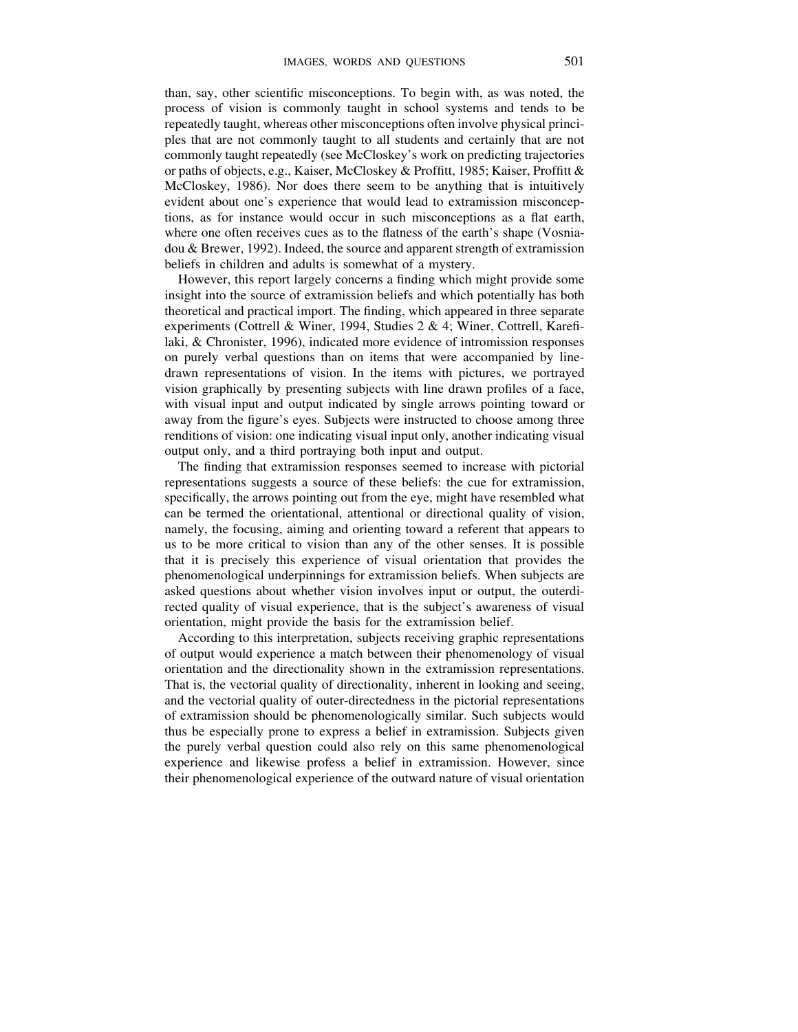than, say, other scientific misconceptions. To begin with, as was noted, the process of vision is commonly taught in school systems and tends to be repeatedly taught, whereas other misconceptions often involve physical principles that are not commonly taught to all students and certainly that are not commonly taught repeatedly (see McCloskey's work on predicting trajectories or paths of objects, e.g., Kaiser, McCloskey & Proffitt, 1985; Kaiser, Proffitt & McCloskey, 1986). Nor does there seem to be anything that is intuitively evident about one's experience that would lead to extramission misconceptions, as for instance would occur in such misconceptions as a flat earth, where one often receives cues as to the flatness of the earth's shape (Vosniadou & Brewer, 1992). Indeed, the source and apparent strength of extramission beliefs in children and adults is somewhat of a mystery.

However, this report largely concerns a finding which might provide some insight into the source of extramission beliefs and which potentially has both theoretical and practical import. The finding, which appeared in three separate experiments (Cottrell & Winer, 1994, Studies 2 & 4; Winer, Cottrell, Karefilaki, & Chronister, 1996), indicated more evidence of intromission responses on purely verbal questions than on items that were accompanied by linedrawn representations of vision. In the items with pictures, we portrayed vision graphically by presenting subjects with line drawn profiles of a face, with visual input and output indicated by single arrows pointing toward or away from the figure's eyes. Subjects were instructed to choose among three renditions of vision: one indicating visual input only, another indicating visual output only, and a third portraying both input and output.

The finding that extramission responses seemed to increase with pictorial representations suggests a source of these beliefs: the cue for extramission, specifically, the arrows pointing out from the eye, might have resembled what can be termed the orientational, attentional or directional quality of vision, namely, the focusing, aiming and orienting toward a referent that appears to us to be more critical to vision than any of the other senses. It is possible that it is precisely this experience of visual orientation that provides the phenomenological underpinnings for extramission beliefs. When subjects are asked questions about whether vision involves input or output, the outerdirected quality of visual experience, that is the subject's awareness of visual orientation, might provide the basis for the extramission belief.

According to this interpretation, subjects receiving graphic representations of output would experience a match between their phenomenology of visual orientation and the directionality shown in the extramission representations. That is, the vectorial quality of directionality, inherent in looking and seeing, and the vectorial quality of outer-directedness in the pictorial representations of extramission should be phenomenologically similar. Such subjects would thus be especially prone to express a belief in extramission. Subjects given the purely verbal question could also rely on this same phenomenological experience and likewise profess a belief in extramission. However, since their phenomenological experience of the outward nature of visual orientation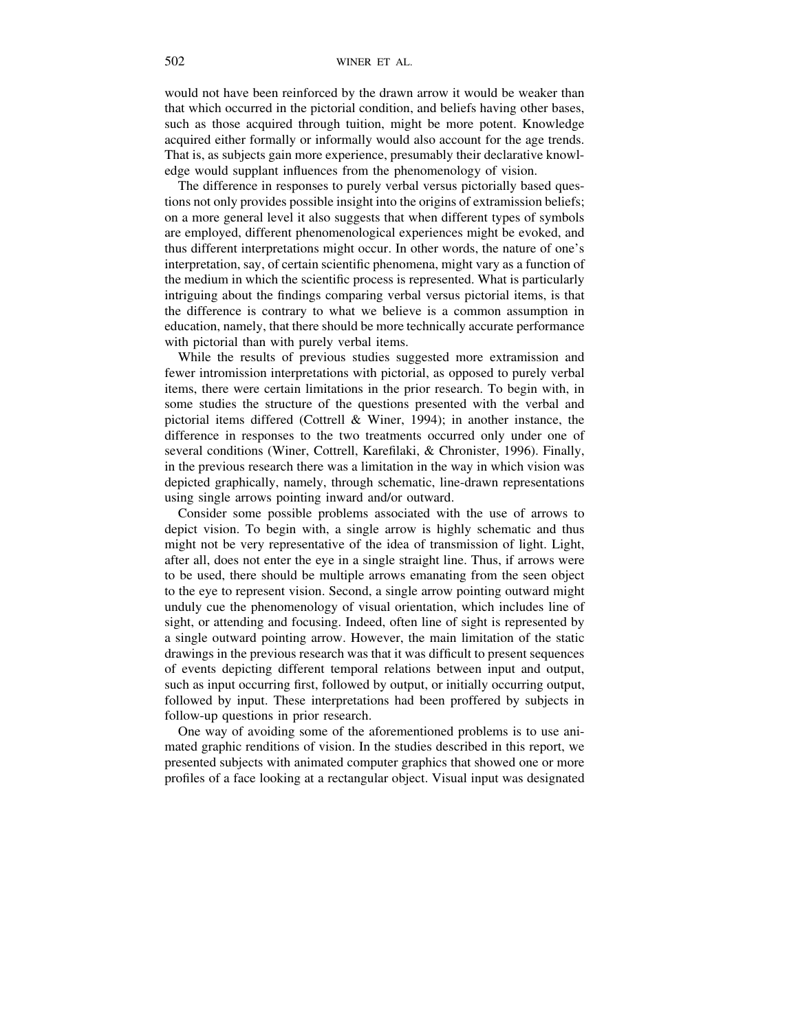would not have been reinforced by the drawn arrow it would be weaker than that which occurred in the pictorial condition, and beliefs having other bases, such as those acquired through tuition, might be more potent. Knowledge acquired either formally or informally would also account for the age trends. That is, as subjects gain more experience, presumably their declarative knowledge would supplant influences from the phenomenology of vision.

The difference in responses to purely verbal versus pictorially based questions not only provides possible insight into the origins of extramission beliefs; on a more general level it also suggests that when different types of symbols are employed, different phenomenological experiences might be evoked, and thus different interpretations might occur. In other words, the nature of one's interpretation, say, of certain scientific phenomena, might vary as a function of the medium in which the scientific process is represented. What is particularly intriguing about the findings comparing verbal versus pictorial items, is that the difference is contrary to what we believe is a common assumption in education, namely, that there should be more technically accurate performance with pictorial than with purely verbal items.

While the results of previous studies suggested more extramission and fewer intromission interpretations with pictorial, as opposed to purely verbal items, there were certain limitations in the prior research. To begin with, in some studies the structure of the questions presented with the verbal and pictorial items differed (Cottrell & Winer, 1994); in another instance, the difference in responses to the two treatments occurred only under one of several conditions (Winer, Cottrell, Karefilaki, & Chronister, 1996). Finally, in the previous research there was a limitation in the way in which vision was depicted graphically, namely, through schematic, line-drawn representations using single arrows pointing inward and/or outward.

Consider some possible problems associated with the use of arrows to depict vision. To begin with, a single arrow is highly schematic and thus might not be very representative of the idea of transmission of light. Light, after all, does not enter the eye in a single straight line. Thus, if arrows were to be used, there should be multiple arrows emanating from the seen object to the eye to represent vision. Second, a single arrow pointing outward might unduly cue the phenomenology of visual orientation, which includes line of sight, or attending and focusing. Indeed, often line of sight is represented by a single outward pointing arrow. However, the main limitation of the static drawings in the previous research was that it was difficult to present sequences of events depicting different temporal relations between input and output, such as input occurring first, followed by output, or initially occurring output, followed by input. These interpretations had been proffered by subjects in follow-up questions in prior research.

One way of avoiding some of the aforementioned problems is to use animated graphic renditions of vision. In the studies described in this report, we presented subjects with animated computer graphics that showed one or more profiles of a face looking at a rectangular object. Visual input was designated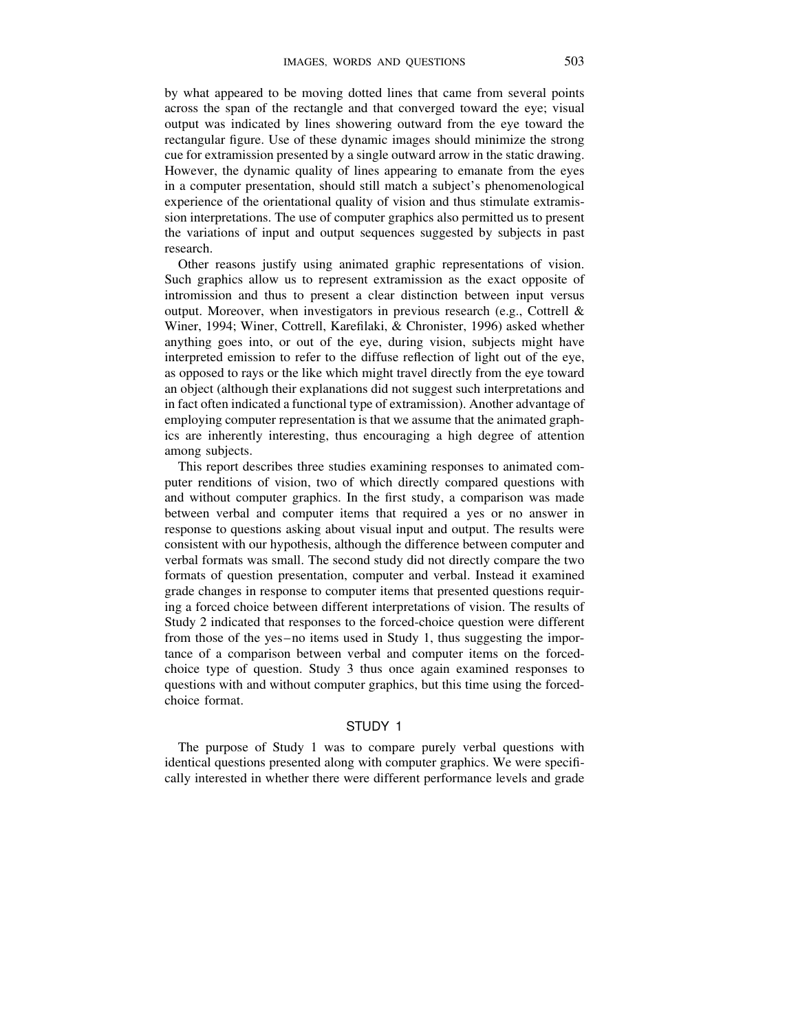by what appeared to be moving dotted lines that came from several points across the span of the rectangle and that converged toward the eye; visual output was indicated by lines showering outward from the eye toward the rectangular figure. Use of these dynamic images should minimize the strong cue for extramission presented by a single outward arrow in the static drawing. However, the dynamic quality of lines appearing to emanate from the eyes in a computer presentation, should still match a subject's phenomenological experience of the orientational quality of vision and thus stimulate extramission interpretations. The use of computer graphics also permitted us to present the variations of input and output sequences suggested by subjects in past research.

Other reasons justify using animated graphic representations of vision. Such graphics allow us to represent extramission as the exact opposite of intromission and thus to present a clear distinction between input versus output. Moreover, when investigators in previous research (e.g., Cottrell & Winer, 1994; Winer, Cottrell, Karefilaki, & Chronister, 1996) asked whether anything goes into, or out of the eye, during vision, subjects might have interpreted emission to refer to the diffuse reflection of light out of the eye, as opposed to rays or the like which might travel directly from the eye toward an object (although their explanations did not suggest such interpretations and in fact often indicated a functional type of extramission). Another advantage of employing computer representation is that we assume that the animated graphics are inherently interesting, thus encouraging a high degree of attention among subjects.

This report describes three studies examining responses to animated computer renditions of vision, two of which directly compared questions with and without computer graphics. In the first study, a comparison was made between verbal and computer items that required a yes or no answer in response to questions asking about visual input and output. The results were consistent with our hypothesis, although the difference between computer and verbal formats was small. The second study did not directly compare the two formats of question presentation, computer and verbal. Instead it examined grade changes in response to computer items that presented questions requiring a forced choice between different interpretations of vision. The results of Study 2 indicated that responses to the forced-choice question were different from those of the yes–no items used in Study 1, thus suggesting the importance of a comparison between verbal and computer items on the forcedchoice type of question. Study 3 thus once again examined responses to questions with and without computer graphics, but this time using the forcedchoice format.

### STUDY 1

The purpose of Study 1 was to compare purely verbal questions with identical questions presented along with computer graphics. We were specifically interested in whether there were different performance levels and grade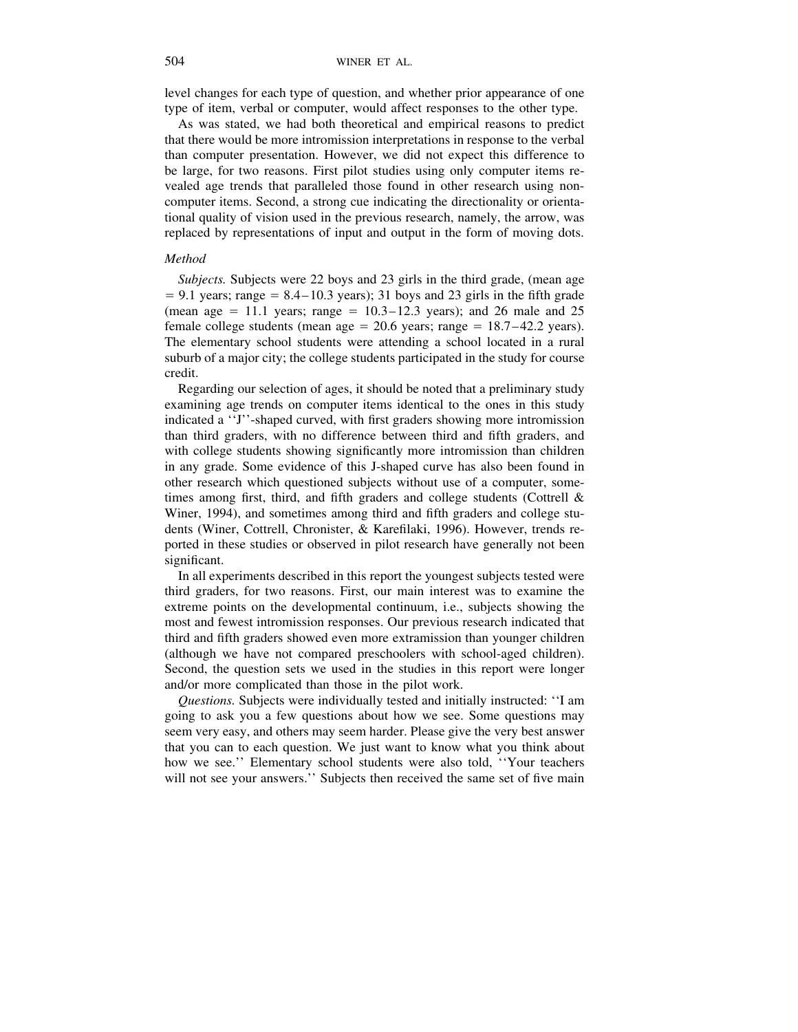level changes for each type of question, and whether prior appearance of one type of item, verbal or computer, would affect responses to the other type.

As was stated, we had both theoretical and empirical reasons to predict that there would be more intromission interpretations in response to the verbal than computer presentation. However, we did not expect this difference to be large, for two reasons. First pilot studies using only computer items revealed age trends that paralleled those found in other research using noncomputer items. Second, a strong cue indicating the directionality or orientational quality of vision used in the previous research, namely, the arrow, was replaced by representations of input and output in the form of moving dots.

#### *Method*

*Subjects.* Subjects were 22 boys and 23 girls in the third grade, (mean age  $= 9.1$  years; range  $= 8.4-10.3$  years); 31 boys and 23 girls in the fifth grade (mean age  $= 11.1$  years; range  $= 10.3-12.3$  years); and 26 male and 25 female college students (mean age =  $20.6$  years; range =  $18.7-42.2$  years). The elementary school students were attending a school located in a rural suburb of a major city; the college students participated in the study for course credit.

Regarding our selection of ages, it should be noted that a preliminary study examining age trends on computer items identical to the ones in this study indicated a ''J''-shaped curved, with first graders showing more intromission than third graders, with no difference between third and fifth graders, and with college students showing significantly more intromission than children in any grade. Some evidence of this J-shaped curve has also been found in other research which questioned subjects without use of a computer, sometimes among first, third, and fifth graders and college students (Cottrell & Winer, 1994), and sometimes among third and fifth graders and college students (Winer, Cottrell, Chronister, & Karefilaki, 1996). However, trends reported in these studies or observed in pilot research have generally not been significant.

In all experiments described in this report the youngest subjects tested were third graders, for two reasons. First, our main interest was to examine the extreme points on the developmental continuum, i.e., subjects showing the most and fewest intromission responses. Our previous research indicated that third and fifth graders showed even more extramission than younger children (although we have not compared preschoolers with school-aged children). Second, the question sets we used in the studies in this report were longer and/or more complicated than those in the pilot work.

*Questions.* Subjects were individually tested and initially instructed: ''I am going to ask you a few questions about how we see. Some questions may seem very easy, and others may seem harder. Please give the very best answer that you can to each question. We just want to know what you think about how we see.'' Elementary school students were also told, ''Your teachers will not see your answers." Subjects then received the same set of five main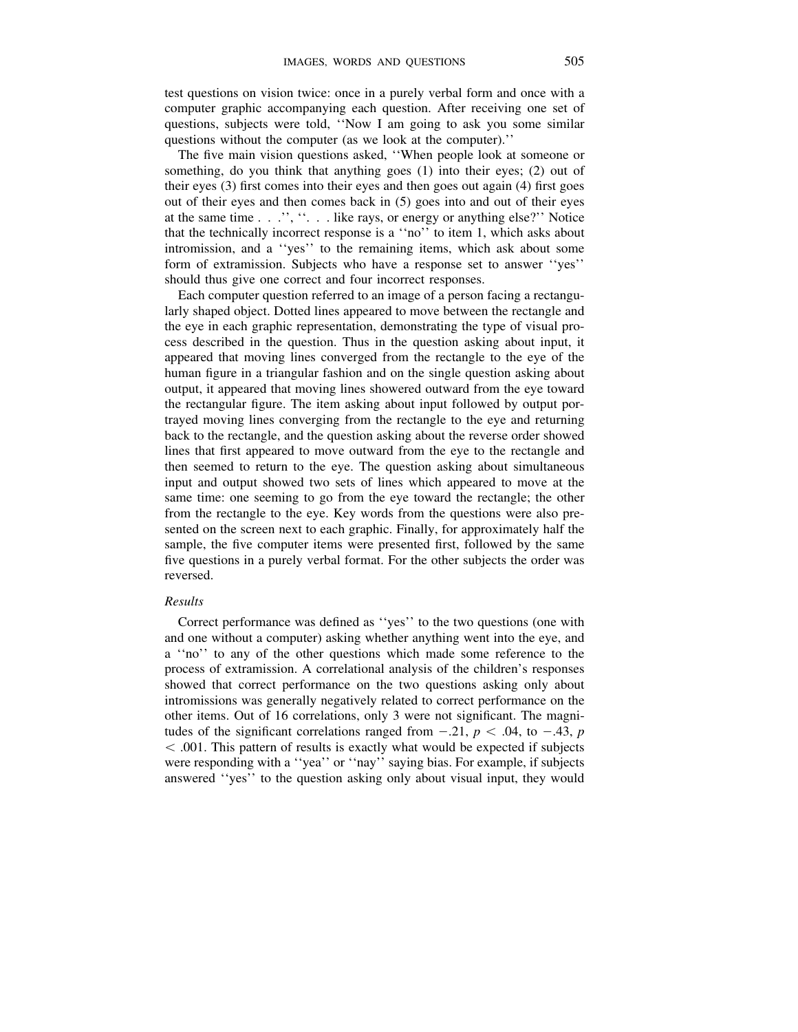test questions on vision twice: once in a purely verbal form and once with a computer graphic accompanying each question. After receiving one set of questions, subjects were told, ''Now I am going to ask you some similar questions without the computer (as we look at the computer).''

The five main vision questions asked, ''When people look at someone or something, do you think that anything goes (1) into their eyes; (2) out of their eyes (3) first comes into their eyes and then goes out again (4) first goes out of their eyes and then comes back in (5) goes into and out of their eyes at the same time . . .'', ''. . . like rays, or energy or anything else?'' Notice that the technically incorrect response is a ''no'' to item 1, which asks about intromission, and a ''yes'' to the remaining items, which ask about some form of extramission. Subjects who have a response set to answer ''yes'' should thus give one correct and four incorrect responses.

Each computer question referred to an image of a person facing a rectangularly shaped object. Dotted lines appeared to move between the rectangle and the eye in each graphic representation, demonstrating the type of visual process described in the question. Thus in the question asking about input, it appeared that moving lines converged from the rectangle to the eye of the human figure in a triangular fashion and on the single question asking about output, it appeared that moving lines showered outward from the eye toward the rectangular figure. The item asking about input followed by output portrayed moving lines converging from the rectangle to the eye and returning back to the rectangle, and the question asking about the reverse order showed lines that first appeared to move outward from the eye to the rectangle and then seemed to return to the eye. The question asking about simultaneous input and output showed two sets of lines which appeared to move at the same time: one seeming to go from the eye toward the rectangle; the other from the rectangle to the eye. Key words from the questions were also presented on the screen next to each graphic. Finally, for approximately half the sample, the five computer items were presented first, followed by the same five questions in a purely verbal format. For the other subjects the order was reversed.

#### *Results*

Correct performance was defined as ''yes'' to the two questions (one with and one without a computer) asking whether anything went into the eye, and a ''no'' to any of the other questions which made some reference to the process of extramission. A correlational analysis of the children's responses showed that correct performance on the two questions asking only about intromissions was generally negatively related to correct performance on the other items. Out of 16 correlations, only 3 were not significant. The magnitudes of the significant correlations ranged from  $-.21$ ,  $p < .04$ , to  $-.43$ , *p*  $\leq$  .001. This pattern of results is exactly what would be expected if subjects were responding with a "yea" or "nay" saying bias. For example, if subjects answered ''yes'' to the question asking only about visual input, they would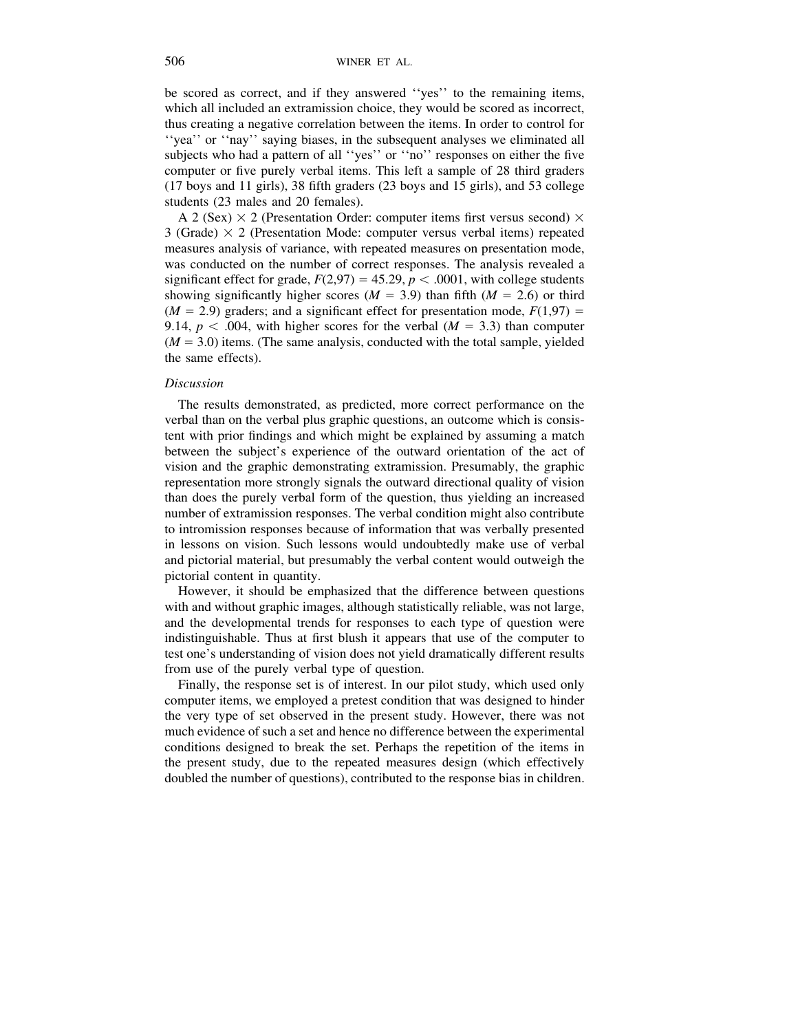be scored as correct, and if they answered ''yes'' to the remaining items, which all included an extramission choice, they would be scored as incorrect, thus creating a negative correlation between the items. In order to control for ''yea'' or ''nay'' saying biases, in the subsequent analyses we eliminated all subjects who had a pattern of all ''yes'' or ''no'' responses on either the five computer or five purely verbal items. This left a sample of 28 third graders (17 boys and 11 girls), 38 fifth graders (23 boys and 15 girls), and 53 college students (23 males and 20 females).

A 2 (Sex)  $\times$  2 (Presentation Order: computer items first versus second)  $\times$ 3 (Grade)  $\times$  2 (Presentation Mode: computer versus verbal items) repeated measures analysis of variance, with repeated measures on presentation mode, was conducted on the number of correct responses. The analysis revealed a significant effect for grade,  $F(2,97) = 45.29$ ,  $p < .0001$ , with college students showing significantly higher scores ( $M = 3.9$ ) than fifth ( $M = 2.6$ ) or third  $(M = 2.9)$  graders; and a significant effect for presentation mode,  $F(1,97) =$ 9.14,  $p < .004$ , with higher scores for the verbal ( $M = 3.3$ ) than computer  $(M = 3.0)$  items. (The same analysis, conducted with the total sample, yielded the same effects).

#### *Discussion*

The results demonstrated, as predicted, more correct performance on the verbal than on the verbal plus graphic questions, an outcome which is consistent with prior findings and which might be explained by assuming a match between the subject's experience of the outward orientation of the act of vision and the graphic demonstrating extramission. Presumably, the graphic representation more strongly signals the outward directional quality of vision than does the purely verbal form of the question, thus yielding an increased number of extramission responses. The verbal condition might also contribute to intromission responses because of information that was verbally presented in lessons on vision. Such lessons would undoubtedly make use of verbal and pictorial material, but presumably the verbal content would outweigh the pictorial content in quantity.

However, it should be emphasized that the difference between questions with and without graphic images, although statistically reliable, was not large, and the developmental trends for responses to each type of question were indistinguishable. Thus at first blush it appears that use of the computer to test one's understanding of vision does not yield dramatically different results from use of the purely verbal type of question.

Finally, the response set is of interest. In our pilot study, which used only computer items, we employed a pretest condition that was designed to hinder the very type of set observed in the present study. However, there was not much evidence of such a set and hence no difference between the experimental conditions designed to break the set. Perhaps the repetition of the items in the present study, due to the repeated measures design (which effectively doubled the number of questions), contributed to the response bias in children.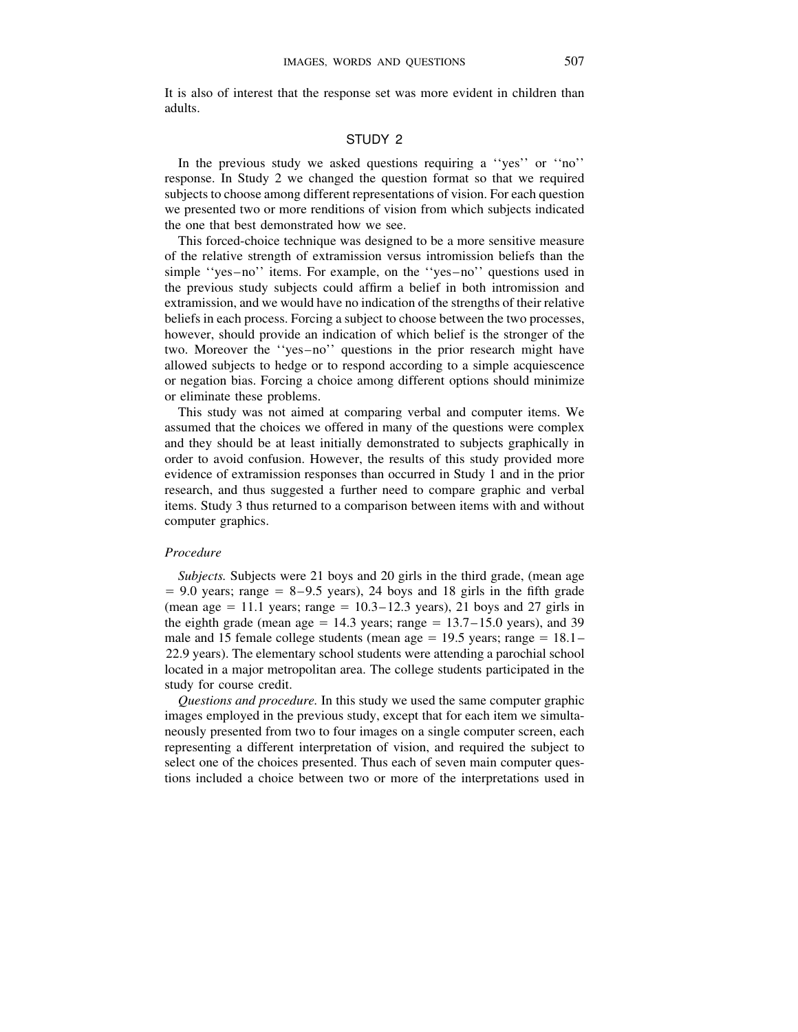It is also of interest that the response set was more evident in children than adults.

#### STUDY 2

In the previous study we asked questions requiring a ''yes'' or ''no'' response. In Study 2 we changed the question format so that we required subjects to choose among different representations of vision. For each question we presented two or more renditions of vision from which subjects indicated the one that best demonstrated how we see.

This forced-choice technique was designed to be a more sensitive measure of the relative strength of extramission versus intromission beliefs than the simple "yes–no" items. For example, on the "yes–no" questions used in the previous study subjects could affirm a belief in both intromission and extramission, and we would have no indication of the strengths of their relative beliefs in each process. Forcing a subject to choose between the two processes, however, should provide an indication of which belief is the stronger of the two. Moreover the ''yes–no'' questions in the prior research might have allowed subjects to hedge or to respond according to a simple acquiescence or negation bias. Forcing a choice among different options should minimize or eliminate these problems.

This study was not aimed at comparing verbal and computer items. We assumed that the choices we offered in many of the questions were complex and they should be at least initially demonstrated to subjects graphically in order to avoid confusion. However, the results of this study provided more evidence of extramission responses than occurred in Study 1 and in the prior research, and thus suggested a further need to compare graphic and verbal items. Study 3 thus returned to a comparison between items with and without computer graphics.

#### *Procedure*

*Subjects.* Subjects were 21 boys and 20 girls in the third grade, (mean age  $= 9.0$  years; range  $= 8-9.5$  years), 24 boys and 18 girls in the fifth grade (mean age  $= 11.1$  years; range  $= 10.3 - 12.3$  years), 21 boys and 27 girls in the eighth grade (mean age  $= 14.3$  years; range  $= 13.7-15.0$  years), and 39 male and 15 female college students (mean age  $= 19.5$  years; range  $= 18.1$ – 22.9 years). The elementary school students were attending a parochial school located in a major metropolitan area. The college students participated in the study for course credit.

*Questions and procedure.* In this study we used the same computer graphic images employed in the previous study, except that for each item we simultaneously presented from two to four images on a single computer screen, each representing a different interpretation of vision, and required the subject to select one of the choices presented. Thus each of seven main computer questions included a choice between two or more of the interpretations used in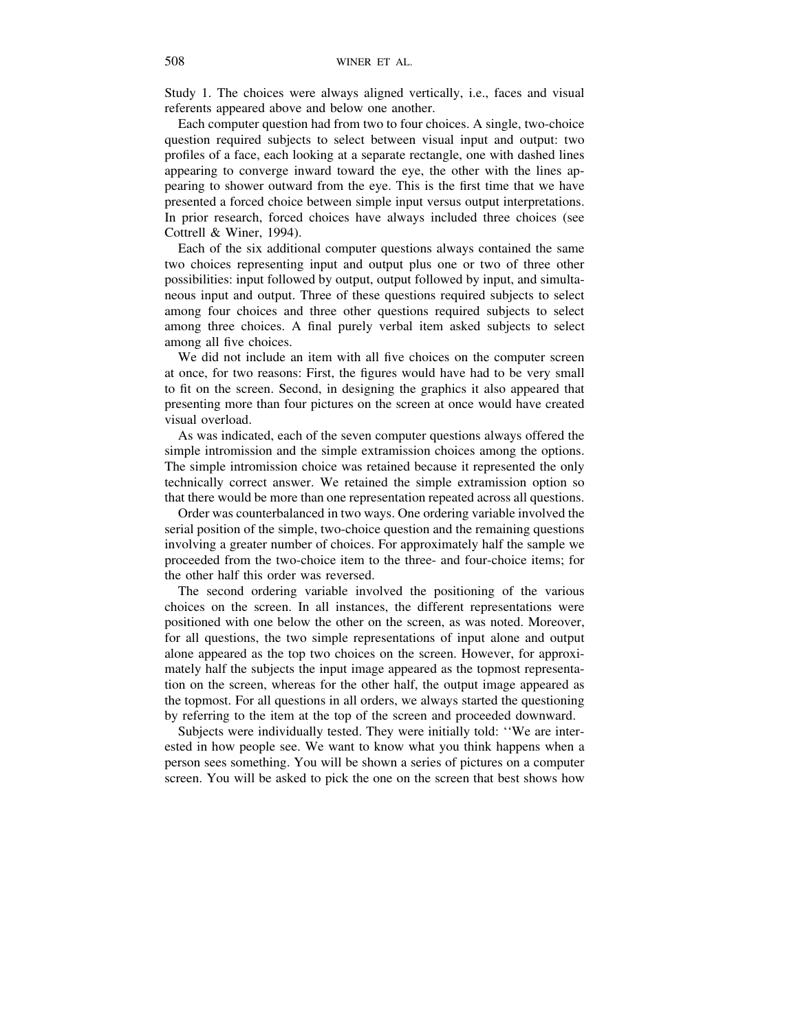Study 1. The choices were always aligned vertically, i.e., faces and visual referents appeared above and below one another.

Each computer question had from two to four choices. A single, two-choice question required subjects to select between visual input and output: two profiles of a face, each looking at a separate rectangle, one with dashed lines appearing to converge inward toward the eye, the other with the lines appearing to shower outward from the eye. This is the first time that we have presented a forced choice between simple input versus output interpretations. In prior research, forced choices have always included three choices (see Cottrell & Winer, 1994).

Each of the six additional computer questions always contained the same two choices representing input and output plus one or two of three other possibilities: input followed by output, output followed by input, and simultaneous input and output. Three of these questions required subjects to select among four choices and three other questions required subjects to select among three choices. A final purely verbal item asked subjects to select among all five choices.

We did not include an item with all five choices on the computer screen at once, for two reasons: First, the figures would have had to be very small to fit on the screen. Second, in designing the graphics it also appeared that presenting more than four pictures on the screen at once would have created visual overload.

As was indicated, each of the seven computer questions always offered the simple intromission and the simple extramission choices among the options. The simple intromission choice was retained because it represented the only technically correct answer. We retained the simple extramission option so that there would be more than one representation repeated across all questions.

Order was counterbalanced in two ways. One ordering variable involved the serial position of the simple, two-choice question and the remaining questions involving a greater number of choices. For approximately half the sample we proceeded from the two-choice item to the three- and four-choice items; for the other half this order was reversed.

The second ordering variable involved the positioning of the various choices on the screen. In all instances, the different representations were positioned with one below the other on the screen, as was noted. Moreover, for all questions, the two simple representations of input alone and output alone appeared as the top two choices on the screen. However, for approximately half the subjects the input image appeared as the topmost representation on the screen, whereas for the other half, the output image appeared as the topmost. For all questions in all orders, we always started the questioning by referring to the item at the top of the screen and proceeded downward.

Subjects were individually tested. They were initially told: "We are interested in how people see. We want to know what you think happens when a person sees something. You will be shown a series of pictures on a computer screen. You will be asked to pick the one on the screen that best shows how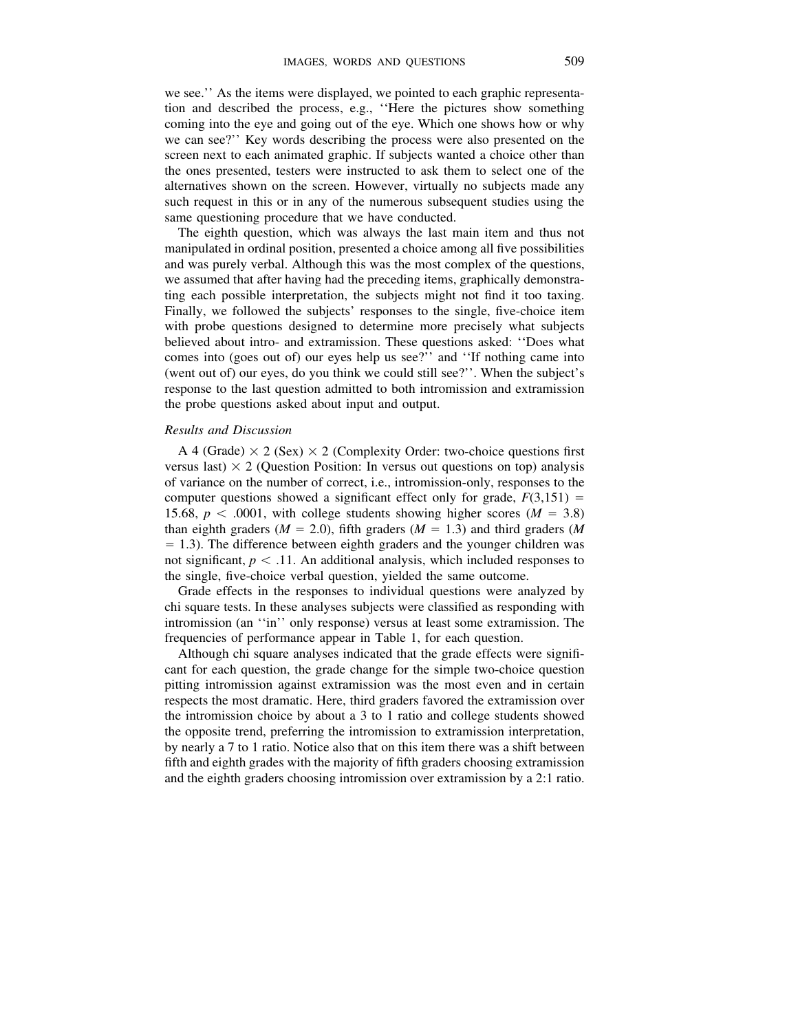we see.'' As the items were displayed, we pointed to each graphic representation and described the process, e.g., ''Here the pictures show something coming into the eye and going out of the eye. Which one shows how or why we can see?'' Key words describing the process were also presented on the screen next to each animated graphic. If subjects wanted a choice other than the ones presented, testers were instructed to ask them to select one of the alternatives shown on the screen. However, virtually no subjects made any such request in this or in any of the numerous subsequent studies using the same questioning procedure that we have conducted.

The eighth question, which was always the last main item and thus not manipulated in ordinal position, presented a choice among all five possibilities and was purely verbal. Although this was the most complex of the questions, we assumed that after having had the preceding items, graphically demonstrating each possible interpretation, the subjects might not find it too taxing. Finally, we followed the subjects' responses to the single, five-choice item with probe questions designed to determine more precisely what subjects believed about intro- and extramission. These questions asked: ''Does what comes into (goes out of) our eyes help us see?'' and ''If nothing came into (went out of) our eyes, do you think we could still see?''. When the subject's response to the last question admitted to both intromission and extramission the probe questions asked about input and output.

#### *Results and Discussion*

A 4 (Grade)  $\times$  2 (Sex)  $\times$  2 (Complexity Order: two-choice questions first versus last)  $\times$  2 (Question Position: In versus out questions on top) analysis of variance on the number of correct, i.e., intromission-only, responses to the computer questions showed a significant effect only for grade,  $F(3,151) =$ 15.68,  $p < .0001$ , with college students showing higher scores ( $M = 3.8$ ) than eighth graders ( $M = 2.0$ ), fifth graders ( $M = 1.3$ ) and third graders ( $M$  $= 1.3$ ). The difference between eighth graders and the younger children was not significant,  $p < 0.11$ . An additional analysis, which included responses to the single, five-choice verbal question, yielded the same outcome.

Grade effects in the responses to individual questions were analyzed by chi square tests. In these analyses subjects were classified as responding with intromission (an ''in'' only response) versus at least some extramission. The frequencies of performance appear in Table 1, for each question.

Although chi square analyses indicated that the grade effects were significant for each question, the grade change for the simple two-choice question pitting intromission against extramission was the most even and in certain respects the most dramatic. Here, third graders favored the extramission over the intromission choice by about a 3 to 1 ratio and college students showed the opposite trend, preferring the intromission to extramission interpretation, by nearly a 7 to 1 ratio. Notice also that on this item there was a shift between fifth and eighth grades with the majority of fifth graders choosing extramission and the eighth graders choosing intromission over extramission by a 2:1 ratio.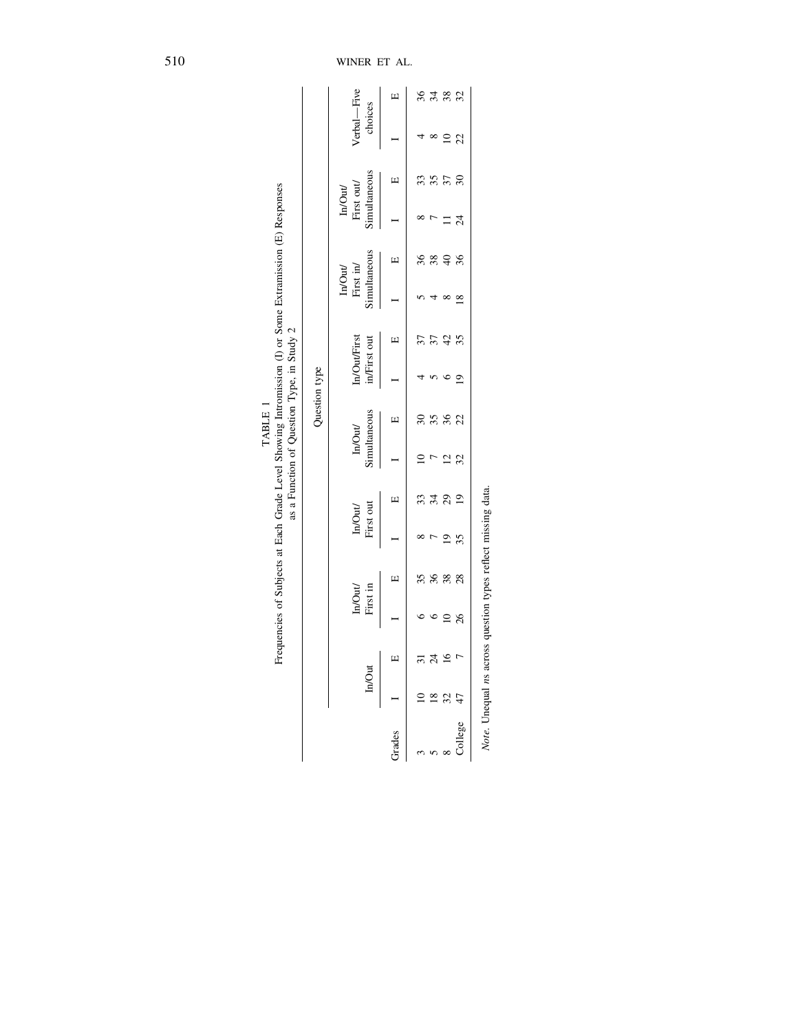| í<br>as a l |
|-------------|
|-------------|

|                                                                                                         |               |                                       | $\mathbf{\mu}$ |                 | 8282<br>842     |                 |
|---------------------------------------------------------------------------------------------------------|---------------|---------------------------------------|----------------|-----------------|-----------------|-----------------|
|                                                                                                         |               | Verbal-Five<br>choices                |                | $^{\circ}$      | $\overline{10}$ | 22              |
|                                                                                                         |               | In/Out/<br>First out/<br>Simultaneous | $\Box$         | 35              | $\overline{37}$ | $30\,$          |
|                                                                                                         |               |                                       |                |                 |                 | $\overline{24}$ |
|                                                                                                         |               | Simultaneous                          | $\mathbb{Z}$   | 38              | $\overline{4}$  | 36              |
| Frequencies of Subjects at Each Grade Level Showing Intromission (I) or Some Extramission (E) Responses |               | $InOut$<br>First $in\prime$           |                |                 |                 | $\overline{18}$ |
|                                                                                                         |               | n/First out                           | $\Box$         | 37              | 42              | 35              |
|                                                                                                         |               | <b>In/Out/First</b>                   |                |                 |                 | $\overline{9}$  |
|                                                                                                         | Question type | Simultaneous                          | $\Box$         | 35              | 36              | 22              |
| as a Function of Question Type, in Study 2                                                              |               | $\mathrm{In} / \mathrm{Out}$          |                |                 |                 | 32              |
|                                                                                                         |               | In/Out/<br>First out                  | $\mathbf{\Xi}$ | 34              | 29              | 19              |
|                                                                                                         |               |                                       |                |                 |                 | 35              |
|                                                                                                         |               | $InOut$ First in $\,$                 | щ              | 36              | 38              |                 |
|                                                                                                         |               |                                       |                |                 |                 | 26              |
|                                                                                                         |               |                                       | $\mathbf{\Xi}$ | $\overline{z}$  | $\overline{16}$ | $\overline{r}$  |
|                                                                                                         |               | In/Out                                |                | $\overline{18}$ |                 | $\overline{47}$ |
|                                                                                                         |               |                                       | Grades         |                 |                 | College         |

Note. Unequal ns across question types reflect missing data. *Note.* Unequal *n*s across question types reflect missing data.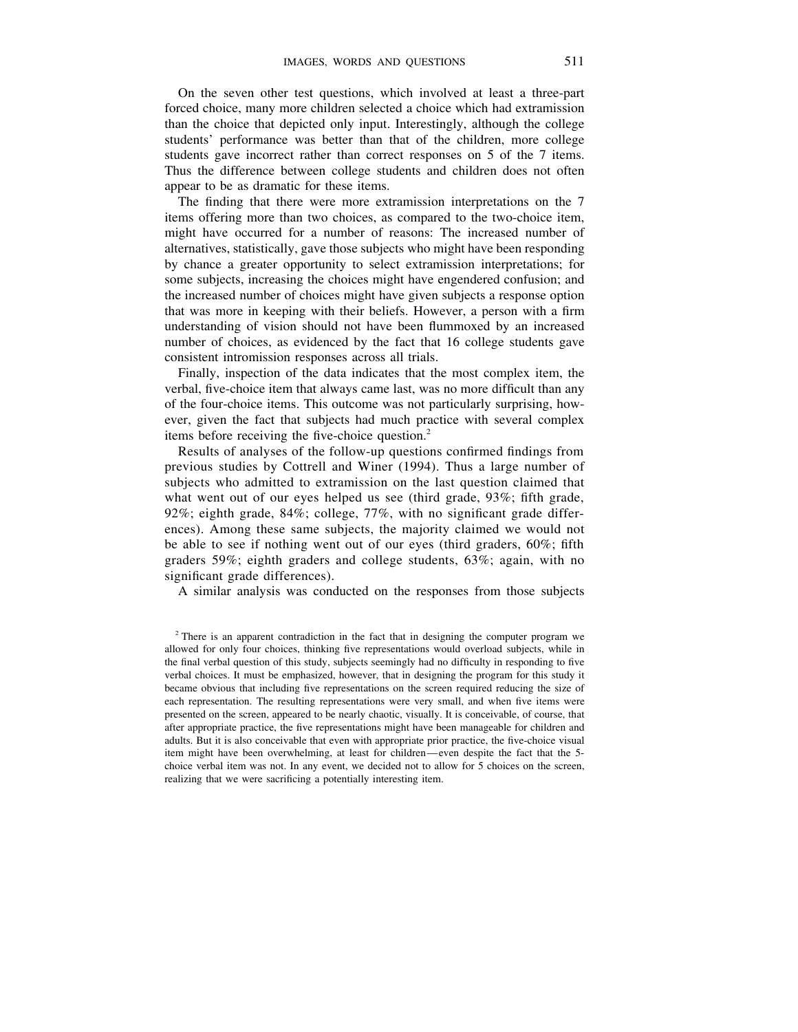On the seven other test questions, which involved at least a three-part forced choice, many more children selected a choice which had extramission than the choice that depicted only input. Interestingly, although the college students' performance was better than that of the children, more college students gave incorrect rather than correct responses on 5 of the 7 items. Thus the difference between college students and children does not often appear to be as dramatic for these items.

The finding that there were more extramission interpretations on the 7 items offering more than two choices, as compared to the two-choice item, might have occurred for a number of reasons: The increased number of alternatives, statistically, gave those subjects who might have been responding by chance a greater opportunity to select extramission interpretations; for some subjects, increasing the choices might have engendered confusion; and the increased number of choices might have given subjects a response option that was more in keeping with their beliefs. However, a person with a firm understanding of vision should not have been flummoxed by an increased number of choices, as evidenced by the fact that 16 college students gave consistent intromission responses across all trials.

Finally, inspection of the data indicates that the most complex item, the verbal, five-choice item that always came last, was no more difficult than any of the four-choice items. This outcome was not particularly surprising, however, given the fact that subjects had much practice with several complex items before receiving the five-choice question.<sup>2</sup>

Results of analyses of the follow-up questions confirmed findings from previous studies by Cottrell and Winer (1994). Thus a large number of subjects who admitted to extramission on the last question claimed that what went out of our eyes helped us see (third grade, 93%; fifth grade, 92%; eighth grade, 84%; college, 77%, with no significant grade differences). Among these same subjects, the majority claimed we would not be able to see if nothing went out of our eyes (third graders, 60%; fifth graders 59%; eighth graders and college students, 63%; again, with no significant grade differences).

A similar analysis was conducted on the responses from those subjects

 $2$ <sup>2</sup> There is an apparent contradiction in the fact that in designing the computer program we allowed for only four choices, thinking five representations would overload subjects, while in the final verbal question of this study, subjects seemingly had no difficulty in responding to five verbal choices. It must be emphasized, however, that in designing the program for this study it became obvious that including five representations on the screen required reducing the size of each representation. The resulting representations were very small, and when five items were presented on the screen, appeared to be nearly chaotic, visually. It is conceivable, of course, that after appropriate practice, the five representations might have been manageable for children and adults. But it is also conceivable that even with appropriate prior practice, the five-choice visual item might have been overwhelming, at least for children—even despite the fact that the 5 choice verbal item was not. In any event, we decided not to allow for 5 choices on the screen, realizing that we were sacrificing a potentially interesting item.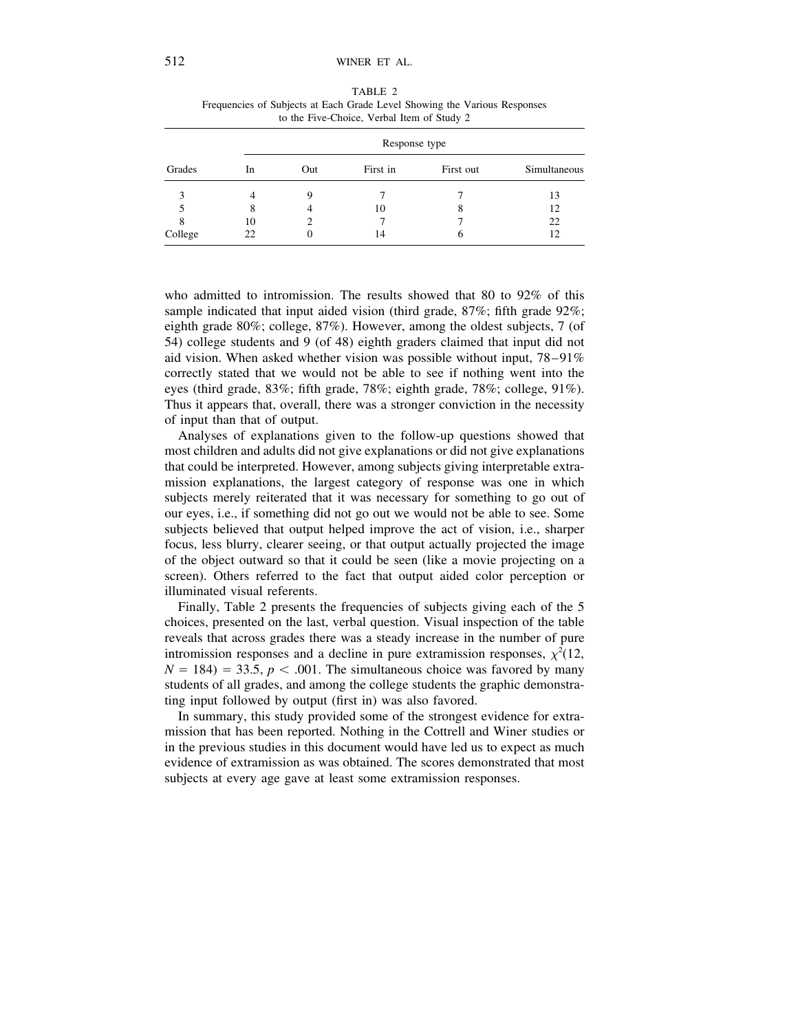|         |    |     | to the $1110$ enorget, $100$ and $100$ or $9100$<br>Response type |           |              |
|---------|----|-----|-------------------------------------------------------------------|-----------|--------------|
| Grades  | In | Out | First in                                                          | First out | Simultaneous |
|         |    |     |                                                                   |           | 13           |
|         |    |     | 10                                                                |           | 12           |
|         | 10 |     |                                                                   |           | 22           |
| College | 22 |     | 14                                                                | h         | 12           |

TABLE 2 Frequencies of Subjects at Each Grade Level Showing the Various Responses to the Five-Choice, Verbal Item of Study 2

who admitted to intromission. The results showed that 80 to 92% of this sample indicated that input aided vision (third grade, 87%; fifth grade 92%; eighth grade 80%; college, 87%). However, among the oldest subjects, 7 (of 54) college students and 9 (of 48) eighth graders claimed that input did not aid vision. When asked whether vision was possible without input, 78–91% correctly stated that we would not be able to see if nothing went into the eyes (third grade, 83%; fifth grade, 78%; eighth grade, 78%; college, 91%). Thus it appears that, overall, there was a stronger conviction in the necessity of input than that of output.

Analyses of explanations given to the follow-up questions showed that most children and adults did not give explanations or did not give explanations that could be interpreted. However, among subjects giving interpretable extramission explanations, the largest category of response was one in which subjects merely reiterated that it was necessary for something to go out of our eyes, i.e., if something did not go out we would not be able to see. Some subjects believed that output helped improve the act of vision, i.e., sharper focus, less blurry, clearer seeing, or that output actually projected the image of the object outward so that it could be seen (like a movie projecting on a screen). Others referred to the fact that output aided color perception or illuminated visual referents.

Finally, Table 2 presents the frequencies of subjects giving each of the 5 choices, presented on the last, verbal question. Visual inspection of the table reveals that across grades there was a steady increase in the number of pure intromission responses and a decline in pure extramission responses,  $\chi^2(12, 12)$  $N = 184$ ) = 33.5,  $p < .001$ . The simultaneous choice was favored by many students of all grades, and among the college students the graphic demonstrating input followed by output (first in) was also favored.

In summary, this study provided some of the strongest evidence for extramission that has been reported. Nothing in the Cottrell and Winer studies or in the previous studies in this document would have led us to expect as much evidence of extramission as was obtained. The scores demonstrated that most subjects at every age gave at least some extramission responses.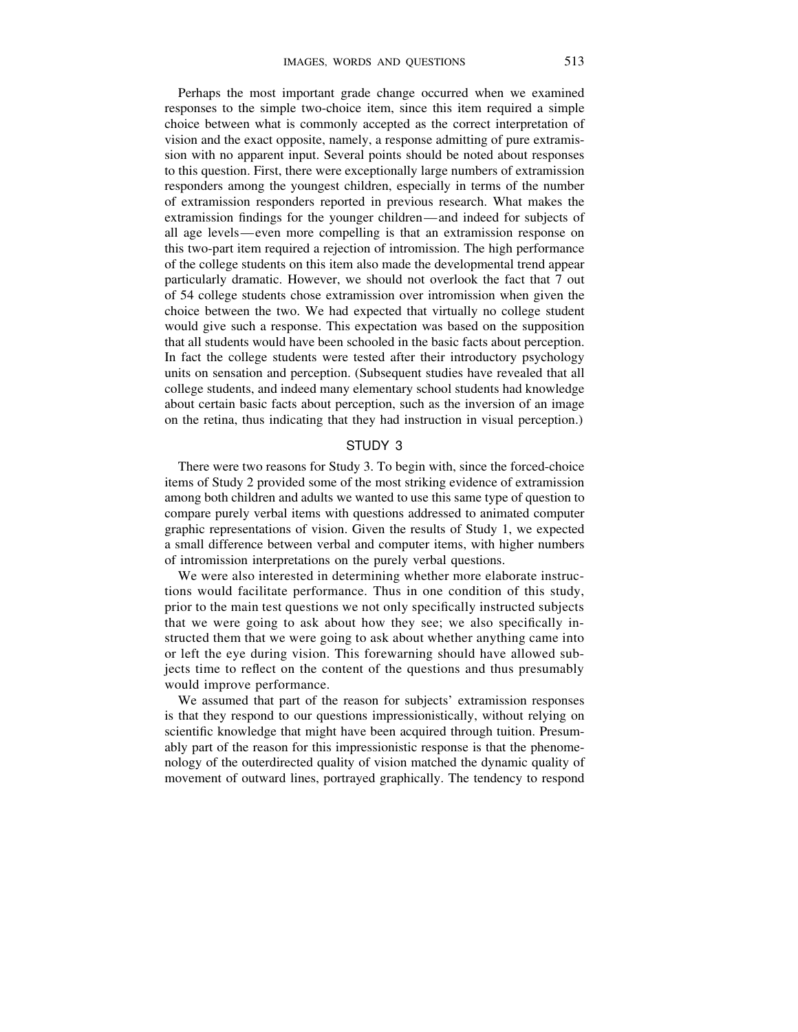Perhaps the most important grade change occurred when we examined responses to the simple two-choice item, since this item required a simple choice between what is commonly accepted as the correct interpretation of vision and the exact opposite, namely, a response admitting of pure extramission with no apparent input. Several points should be noted about responses to this question. First, there were exceptionally large numbers of extramission responders among the youngest children, especially in terms of the number of extramission responders reported in previous research. What makes the extramission findings for the younger children—and indeed for subjects of all age levels—even more compelling is that an extramission response on this two-part item required a rejection of intromission. The high performance of the college students on this item also made the developmental trend appear particularly dramatic. However, we should not overlook the fact that 7 out of 54 college students chose extramission over intromission when given the choice between the two. We had expected that virtually no college student would give such a response. This expectation was based on the supposition that all students would have been schooled in the basic facts about perception. In fact the college students were tested after their introductory psychology units on sensation and perception. (Subsequent studies have revealed that all college students, and indeed many elementary school students had knowledge about certain basic facts about perception, such as the inversion of an image on the retina, thus indicating that they had instruction in visual perception.)

## STUDY 3

There were two reasons for Study 3. To begin with, since the forced-choice items of Study 2 provided some of the most striking evidence of extramission among both children and adults we wanted to use this same type of question to compare purely verbal items with questions addressed to animated computer graphic representations of vision. Given the results of Study 1, we expected a small difference between verbal and computer items, with higher numbers of intromission interpretations on the purely verbal questions.

We were also interested in determining whether more elaborate instructions would facilitate performance. Thus in one condition of this study, prior to the main test questions we not only specifically instructed subjects that we were going to ask about how they see; we also specifically instructed them that we were going to ask about whether anything came into or left the eye during vision. This forewarning should have allowed subjects time to reflect on the content of the questions and thus presumably would improve performance.

We assumed that part of the reason for subjects' extramission responses is that they respond to our questions impressionistically, without relying on scientific knowledge that might have been acquired through tuition. Presumably part of the reason for this impressionistic response is that the phenomenology of the outerdirected quality of vision matched the dynamic quality of movement of outward lines, portrayed graphically. The tendency to respond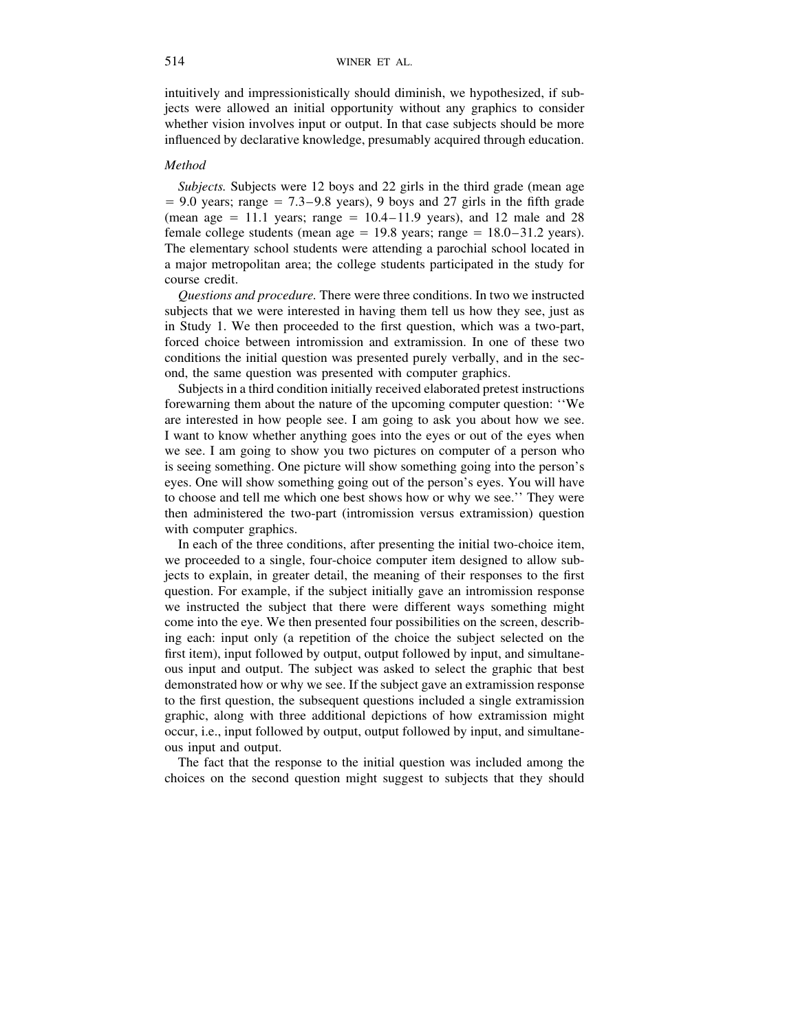intuitively and impressionistically should diminish, we hypothesized, if subjects were allowed an initial opportunity without any graphics to consider whether vision involves input or output. In that case subjects should be more influenced by declarative knowledge, presumably acquired through education.

# *Method*

*Subjects.* Subjects were 12 boys and 22 girls in the third grade (mean age  $= 9.0$  years; range  $= 7.3-9.8$  years), 9 boys and 27 girls in the fifth grade (mean age  $= 11.1$  years; range  $= 10.4$ –11.9 years), and 12 male and 28 female college students (mean age =  $19.8$  years; range =  $18.0-31.2$  years). The elementary school students were attending a parochial school located in a major metropolitan area; the college students participated in the study for course credit.

*Questions and procedure.* There were three conditions. In two we instructed subjects that we were interested in having them tell us how they see, just as in Study 1. We then proceeded to the first question, which was a two-part, forced choice between intromission and extramission. In one of these two conditions the initial question was presented purely verbally, and in the second, the same question was presented with computer graphics.

Subjects in a third condition initially received elaborated pretest instructions forewarning them about the nature of the upcoming computer question: ''We are interested in how people see. I am going to ask you about how we see. I want to know whether anything goes into the eyes or out of the eyes when we see. I am going to show you two pictures on computer of a person who is seeing something. One picture will show something going into the person's eyes. One will show something going out of the person's eyes. You will have to choose and tell me which one best shows how or why we see.'' They were then administered the two-part (intromission versus extramission) question with computer graphics.

In each of the three conditions, after presenting the initial two-choice item, we proceeded to a single, four-choice computer item designed to allow subjects to explain, in greater detail, the meaning of their responses to the first question. For example, if the subject initially gave an intromission response we instructed the subject that there were different ways something might come into the eye. We then presented four possibilities on the screen, describing each: input only (a repetition of the choice the subject selected on the first item), input followed by output, output followed by input, and simultaneous input and output. The subject was asked to select the graphic that best demonstrated how or why we see. If the subject gave an extramission response to the first question, the subsequent questions included a single extramission graphic, along with three additional depictions of how extramission might occur, i.e., input followed by output, output followed by input, and simultaneous input and output.

The fact that the response to the initial question was included among the choices on the second question might suggest to subjects that they should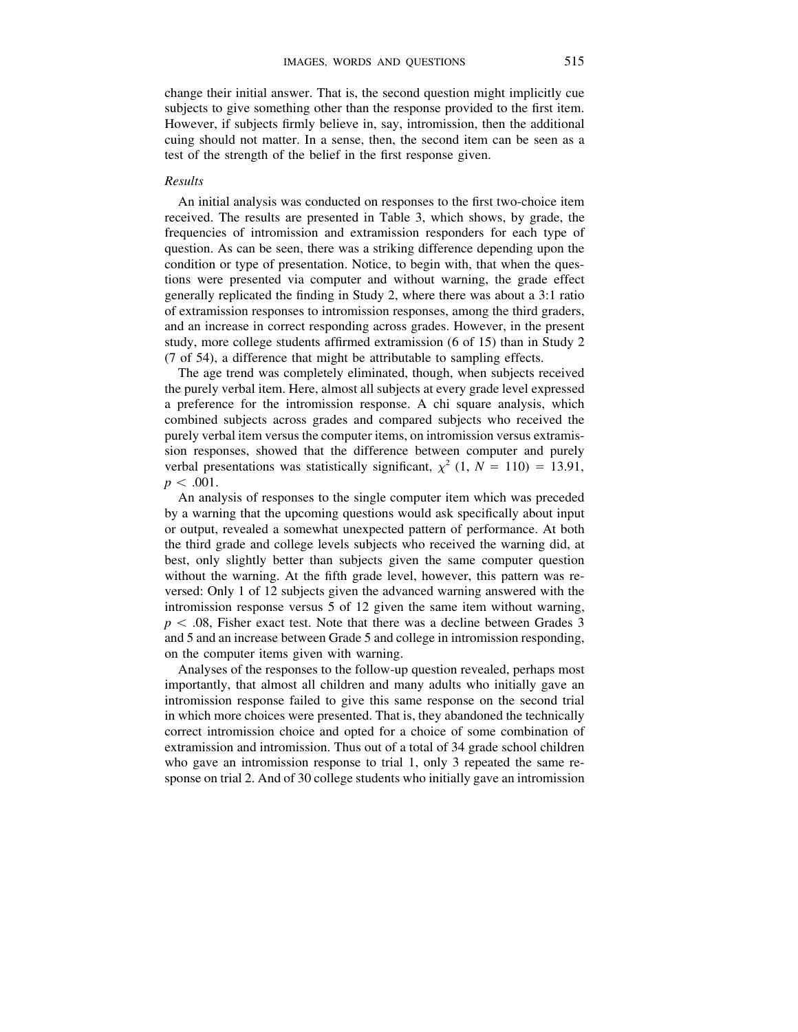change their initial answer. That is, the second question might implicitly cue subjects to give something other than the response provided to the first item. However, if subjects firmly believe in, say, intromission, then the additional cuing should not matter. In a sense, then, the second item can be seen as a test of the strength of the belief in the first response given.

#### *Results*

An initial analysis was conducted on responses to the first two-choice item received. The results are presented in Table 3, which shows, by grade, the frequencies of intromission and extramission responders for each type of question. As can be seen, there was a striking difference depending upon the condition or type of presentation. Notice, to begin with, that when the questions were presented via computer and without warning, the grade effect generally replicated the finding in Study 2, where there was about a 3:1 ratio of extramission responses to intromission responses, among the third graders, and an increase in correct responding across grades. However, in the present study, more college students affirmed extramission (6 of 15) than in Study 2 (7 of 54), a difference that might be attributable to sampling effects.

The age trend was completely eliminated, though, when subjects received the purely verbal item. Here, almost all subjects at every grade level expressed a preference for the intromission response. A chi square analysis, which combined subjects across grades and compared subjects who received the purely verbal item versus the computer items, on intromission versus extramission responses, showed that the difference between computer and purely verbal presentations was statistically significant,  $\chi^2$  (1,  $N = 110$ ) = 13.91,  $p < .001$ .

An analysis of responses to the single computer item which was preceded by a warning that the upcoming questions would ask specifically about input or output, revealed a somewhat unexpected pattern of performance. At both the third grade and college levels subjects who received the warning did, at best, only slightly better than subjects given the same computer question without the warning. At the fifth grade level, however, this pattern was reversed: Only 1 of 12 subjects given the advanced warning answered with the intromission response versus 5 of 12 given the same item without warning,  $p < .08$ , Fisher exact test. Note that there was a decline between Grades 3 and 5 and an increase between Grade 5 and college in intromission responding, on the computer items given with warning.

Analyses of the responses to the follow-up question revealed, perhaps most importantly, that almost all children and many adults who initially gave an intromission response failed to give this same response on the second trial in which more choices were presented. That is, they abandoned the technically correct intromission choice and opted for a choice of some combination of extramission and intromission. Thus out of a total of 34 grade school children who gave an intromission response to trial 1, only 3 repeated the same response on trial 2. And of 30 college students who initially gave an intromission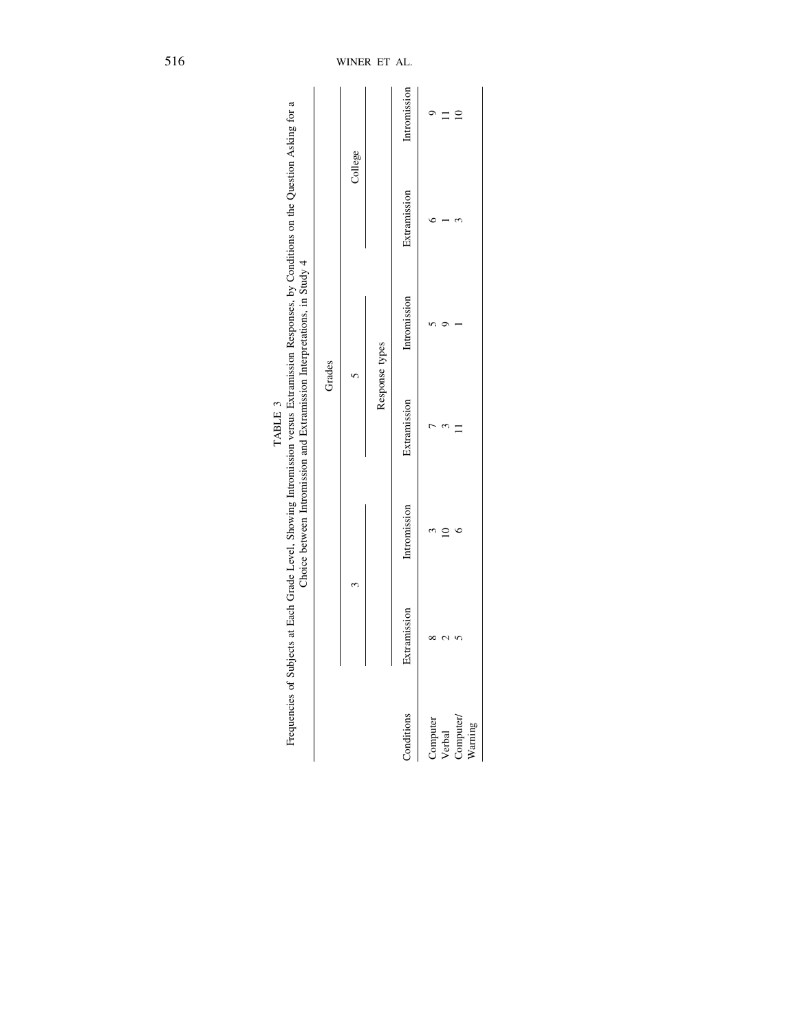|                      |              |              | Choice between Intromission and Extramission Interpretations, in Study 4 |              | Frequencies of Subjects at Each Grade Level, Showing Intromission versus Extramission Responses, by Conditions on the Question Asking for a |              |
|----------------------|--------------|--------------|--------------------------------------------------------------------------|--------------|---------------------------------------------------------------------------------------------------------------------------------------------|--------------|
|                      |              |              | Grades                                                                   |              |                                                                                                                                             |              |
|                      |              |              |                                                                          |              | College                                                                                                                                     |              |
|                      |              |              | Response types                                                           |              |                                                                                                                                             |              |
| Conditions           | Extramission | Intromission | Extramission                                                             | Intromission | Extramission                                                                                                                                | Intromission |
| Computer             |              |              |                                                                          |              |                                                                                                                                             |              |
| Verbal               |              |              |                                                                          |              |                                                                                                                                             |              |
| Computer/<br>Warning |              |              |                                                                          |              |                                                                                                                                             |              |

TABLE 3<br>Frequencies of Subjects at Each Grade Level, Showing Intromission versus Extramission Responses, by Conditions on the Question Asking for a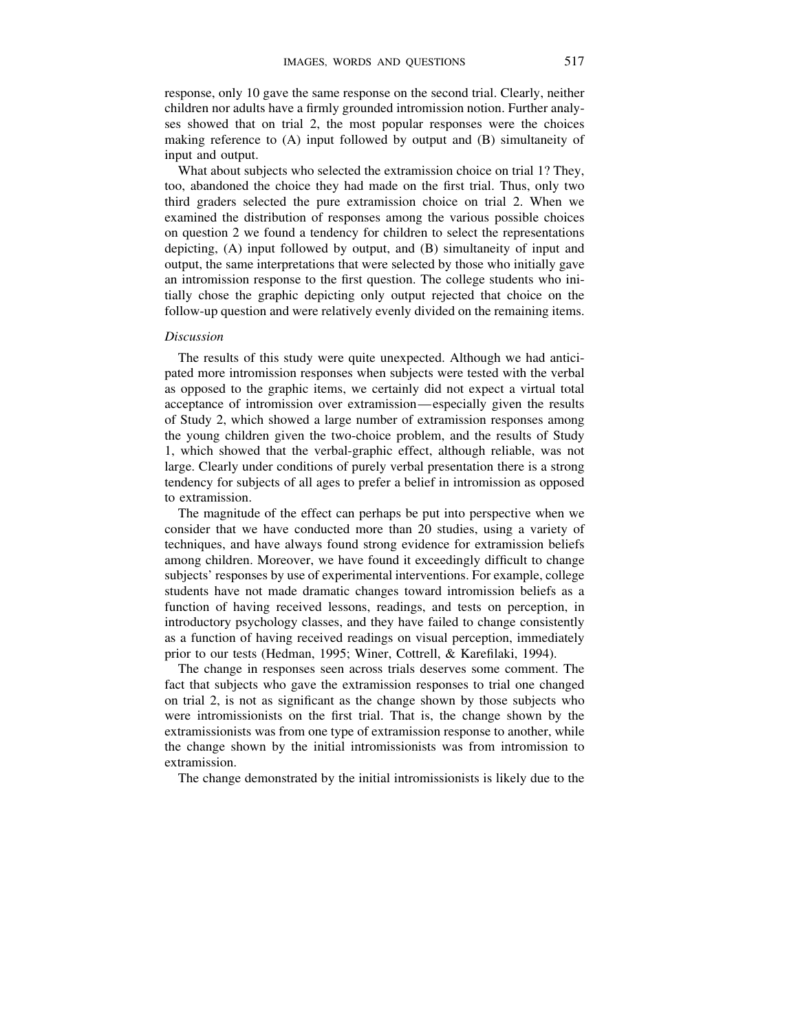response, only 10 gave the same response on the second trial. Clearly, neither children nor adults have a firmly grounded intromission notion. Further analyses showed that on trial 2, the most popular responses were the choices making reference to (A) input followed by output and (B) simultaneity of input and output.

What about subjects who selected the extramission choice on trial 1? They, too, abandoned the choice they had made on the first trial. Thus, only two third graders selected the pure extramission choice on trial 2. When we examined the distribution of responses among the various possible choices on question 2 we found a tendency for children to select the representations depicting, (A) input followed by output, and (B) simultaneity of input and output, the same interpretations that were selected by those who initially gave an intromission response to the first question. The college students who initially chose the graphic depicting only output rejected that choice on the follow-up question and were relatively evenly divided on the remaining items.

#### *Discussion*

The results of this study were quite unexpected. Although we had anticipated more intromission responses when subjects were tested with the verbal as opposed to the graphic items, we certainly did not expect a virtual total acceptance of intromission over extramission—especially given the results of Study 2, which showed a large number of extramission responses among the young children given the two-choice problem, and the results of Study 1, which showed that the verbal-graphic effect, although reliable, was not large. Clearly under conditions of purely verbal presentation there is a strong tendency for subjects of all ages to prefer a belief in intromission as opposed to extramission.

The magnitude of the effect can perhaps be put into perspective when we consider that we have conducted more than 20 studies, using a variety of techniques, and have always found strong evidence for extramission beliefs among children. Moreover, we have found it exceedingly difficult to change subjects' responses by use of experimental interventions. For example, college students have not made dramatic changes toward intromission beliefs as a function of having received lessons, readings, and tests on perception, in introductory psychology classes, and they have failed to change consistently as a function of having received readings on visual perception, immediately prior to our tests (Hedman, 1995; Winer, Cottrell, & Karefilaki, 1994).

The change in responses seen across trials deserves some comment. The fact that subjects who gave the extramission responses to trial one changed on trial 2, is not as significant as the change shown by those subjects who were intromissionists on the first trial. That is, the change shown by the extramissionists was from one type of extramission response to another, while the change shown by the initial intromissionists was from intromission to extramission.

The change demonstrated by the initial intromissionists is likely due to the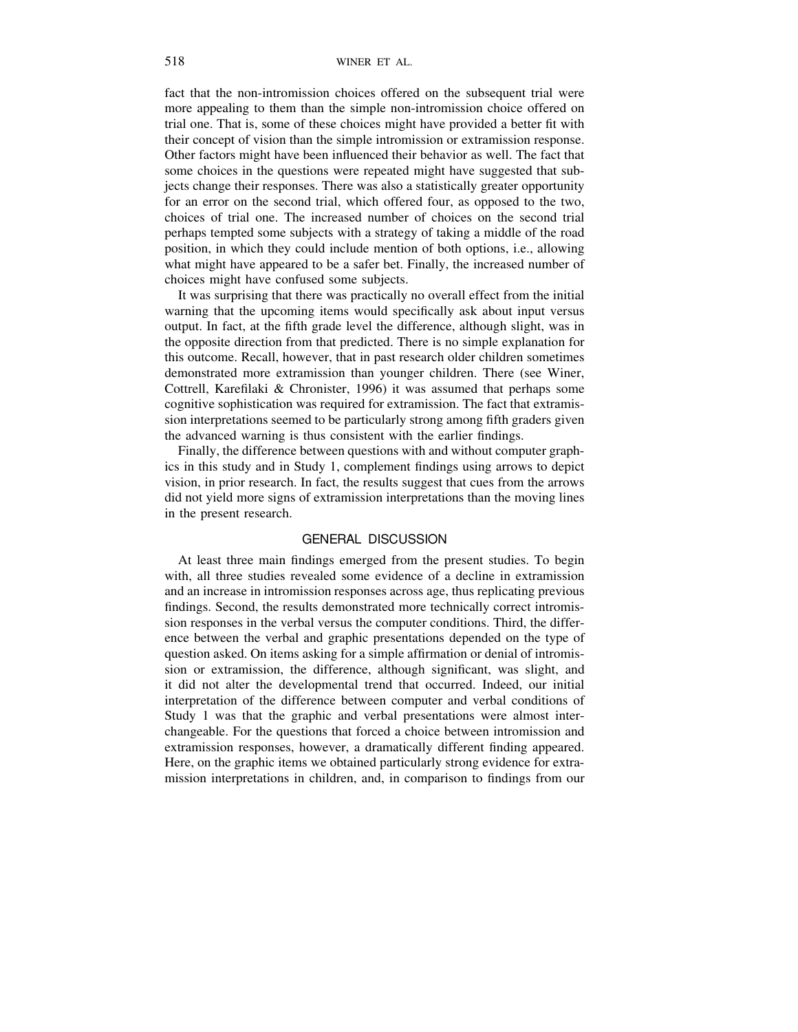fact that the non-intromission choices offered on the subsequent trial were more appealing to them than the simple non-intromission choice offered on trial one. That is, some of these choices might have provided a better fit with their concept of vision than the simple intromission or extramission response. Other factors might have been influenced their behavior as well. The fact that some choices in the questions were repeated might have suggested that subjects change their responses. There was also a statistically greater opportunity for an error on the second trial, which offered four, as opposed to the two, choices of trial one. The increased number of choices on the second trial perhaps tempted some subjects with a strategy of taking a middle of the road position, in which they could include mention of both options, i.e., allowing what might have appeared to be a safer bet. Finally, the increased number of choices might have confused some subjects.

It was surprising that there was practically no overall effect from the initial warning that the upcoming items would specifically ask about input versus output. In fact, at the fifth grade level the difference, although slight, was in the opposite direction from that predicted. There is no simple explanation for this outcome. Recall, however, that in past research older children sometimes demonstrated more extramission than younger children. There (see Winer, Cottrell, Karefilaki & Chronister, 1996) it was assumed that perhaps some cognitive sophistication was required for extramission. The fact that extramission interpretations seemed to be particularly strong among fifth graders given the advanced warning is thus consistent with the earlier findings.

Finally, the difference between questions with and without computer graphics in this study and in Study 1, complement findings using arrows to depict vision, in prior research. In fact, the results suggest that cues from the arrows did not yield more signs of extramission interpretations than the moving lines in the present research.

# GENERAL DISCUSSION

At least three main findings emerged from the present studies. To begin with, all three studies revealed some evidence of a decline in extramission and an increase in intromission responses across age, thus replicating previous findings. Second, the results demonstrated more technically correct intromission responses in the verbal versus the computer conditions. Third, the difference between the verbal and graphic presentations depended on the type of question asked. On items asking for a simple affirmation or denial of intromission or extramission, the difference, although significant, was slight, and it did not alter the developmental trend that occurred. Indeed, our initial interpretation of the difference between computer and verbal conditions of Study 1 was that the graphic and verbal presentations were almost interchangeable. For the questions that forced a choice between intromission and extramission responses, however, a dramatically different finding appeared. Here, on the graphic items we obtained particularly strong evidence for extramission interpretations in children, and, in comparison to findings from our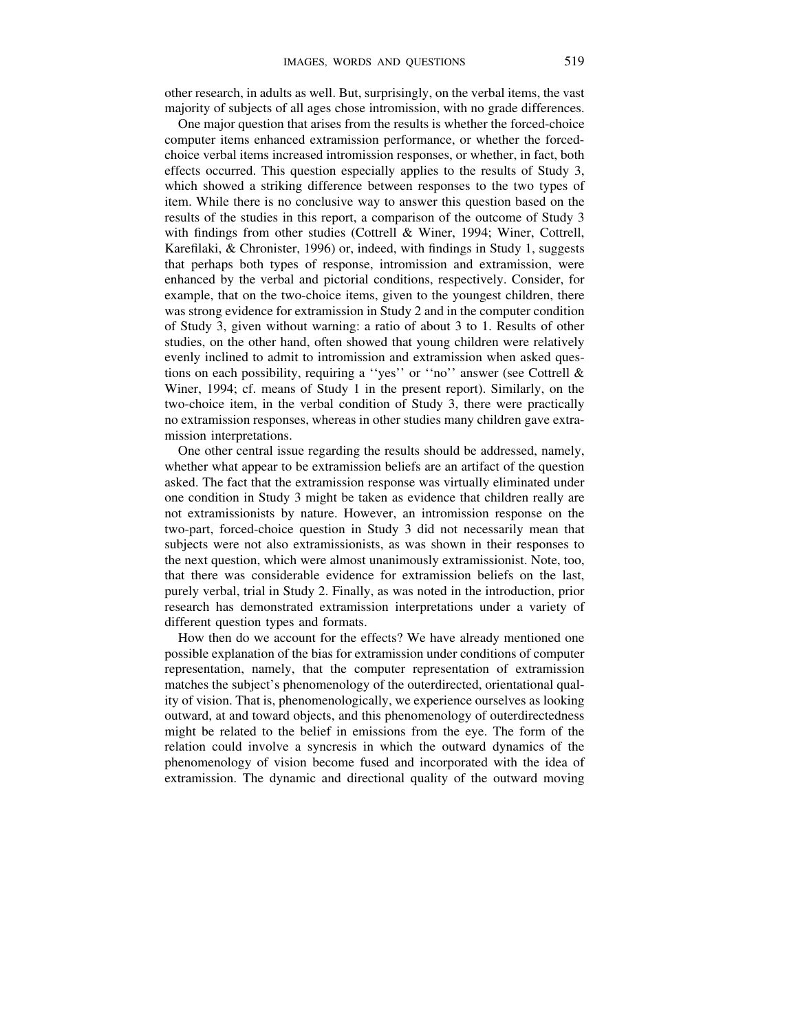other research, in adults as well. But, surprisingly, on the verbal items, the vast majority of subjects of all ages chose intromission, with no grade differences.

One major question that arises from the results is whether the forced-choice computer items enhanced extramission performance, or whether the forcedchoice verbal items increased intromission responses, or whether, in fact, both effects occurred. This question especially applies to the results of Study 3, which showed a striking difference between responses to the two types of item. While there is no conclusive way to answer this question based on the results of the studies in this report, a comparison of the outcome of Study 3 with findings from other studies (Cottrell & Winer, 1994; Winer, Cottrell, Karefilaki, & Chronister, 1996) or, indeed, with findings in Study 1, suggests that perhaps both types of response, intromission and extramission, were enhanced by the verbal and pictorial conditions, respectively. Consider, for example, that on the two-choice items, given to the youngest children, there was strong evidence for extramission in Study 2 and in the computer condition of Study 3, given without warning: a ratio of about 3 to 1. Results of other studies, on the other hand, often showed that young children were relatively evenly inclined to admit to intromission and extramission when asked questions on each possibility, requiring a ''yes'' or ''no'' answer (see Cottrell & Winer, 1994; cf. means of Study 1 in the present report). Similarly, on the two-choice item, in the verbal condition of Study 3, there were practically no extramission responses, whereas in other studies many children gave extramission interpretations.

One other central issue regarding the results should be addressed, namely, whether what appear to be extramission beliefs are an artifact of the question asked. The fact that the extramission response was virtually eliminated under one condition in Study 3 might be taken as evidence that children really are not extramissionists by nature. However, an intromission response on the two-part, forced-choice question in Study 3 did not necessarily mean that subjects were not also extramissionists, as was shown in their responses to the next question, which were almost unanimously extramissionist. Note, too, that there was considerable evidence for extramission beliefs on the last, purely verbal, trial in Study 2. Finally, as was noted in the introduction, prior research has demonstrated extramission interpretations under a variety of different question types and formats.

How then do we account for the effects? We have already mentioned one possible explanation of the bias for extramission under conditions of computer representation, namely, that the computer representation of extramission matches the subject's phenomenology of the outerdirected, orientational quality of vision. That is, phenomenologically, we experience ourselves as looking outward, at and toward objects, and this phenomenology of outerdirectedness might be related to the belief in emissions from the eye. The form of the relation could involve a syncresis in which the outward dynamics of the phenomenology of vision become fused and incorporated with the idea of extramission. The dynamic and directional quality of the outward moving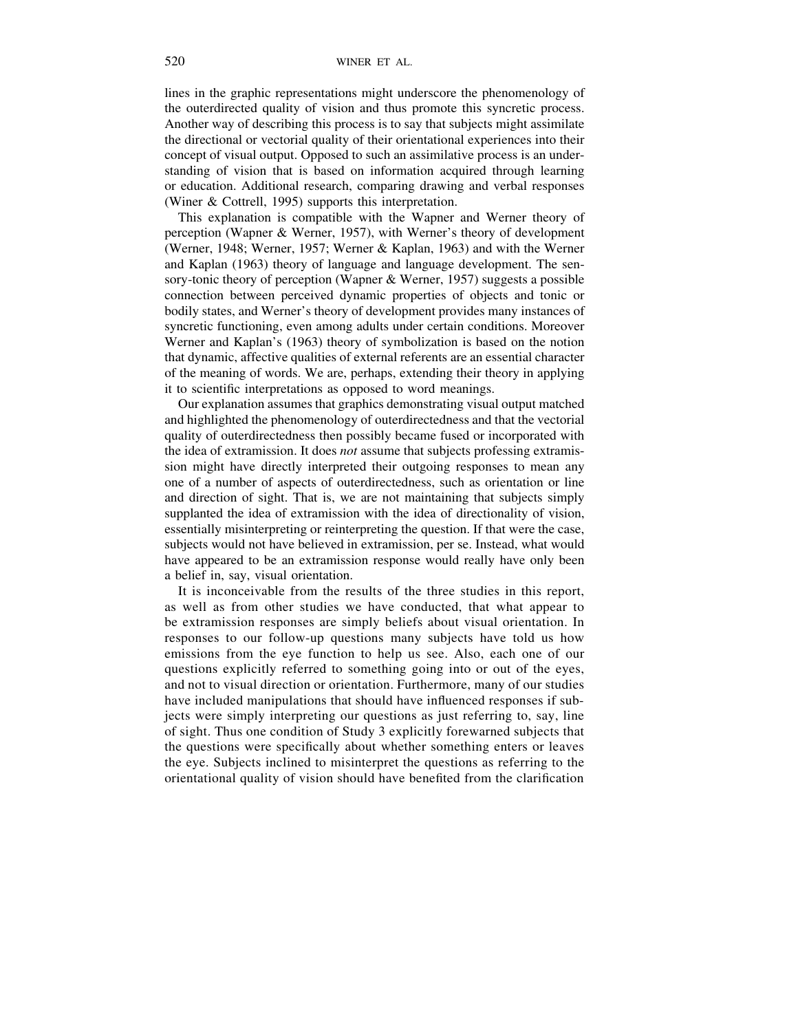lines in the graphic representations might underscore the phenomenology of the outerdirected quality of vision and thus promote this syncretic process. Another way of describing this process is to say that subjects might assimilate the directional or vectorial quality of their orientational experiences into their concept of visual output. Opposed to such an assimilative process is an understanding of vision that is based on information acquired through learning or education. Additional research, comparing drawing and verbal responses (Winer & Cottrell, 1995) supports this interpretation.

This explanation is compatible with the Wapner and Werner theory of perception (Wapner & Werner, 1957), with Werner's theory of development (Werner, 1948; Werner, 1957; Werner & Kaplan, 1963) and with the Werner and Kaplan (1963) theory of language and language development. The sensory-tonic theory of perception (Wapner & Werner, 1957) suggests a possible connection between perceived dynamic properties of objects and tonic or bodily states, and Werner's theory of development provides many instances of syncretic functioning, even among adults under certain conditions. Moreover Werner and Kaplan's (1963) theory of symbolization is based on the notion that dynamic, affective qualities of external referents are an essential character of the meaning of words. We are, perhaps, extending their theory in applying it to scientific interpretations as opposed to word meanings.

Our explanation assumes that graphics demonstrating visual output matched and highlighted the phenomenology of outerdirectedness and that the vectorial quality of outerdirectedness then possibly became fused or incorporated with the idea of extramission. It does *not* assume that subjects professing extramission might have directly interpreted their outgoing responses to mean any one of a number of aspects of outerdirectedness, such as orientation or line and direction of sight. That is, we are not maintaining that subjects simply supplanted the idea of extramission with the idea of directionality of vision, essentially misinterpreting or reinterpreting the question. If that were the case, subjects would not have believed in extramission, per se. Instead, what would have appeared to be an extramission response would really have only been a belief in, say, visual orientation.

It is inconceivable from the results of the three studies in this report, as well as from other studies we have conducted, that what appear to be extramission responses are simply beliefs about visual orientation. In responses to our follow-up questions many subjects have told us how emissions from the eye function to help us see. Also, each one of our questions explicitly referred to something going into or out of the eyes, and not to visual direction or orientation. Furthermore, many of our studies have included manipulations that should have influenced responses if subjects were simply interpreting our questions as just referring to, say, line of sight. Thus one condition of Study 3 explicitly forewarned subjects that the questions were specifically about whether something enters or leaves the eye. Subjects inclined to misinterpret the questions as referring to the orientational quality of vision should have benefited from the clarification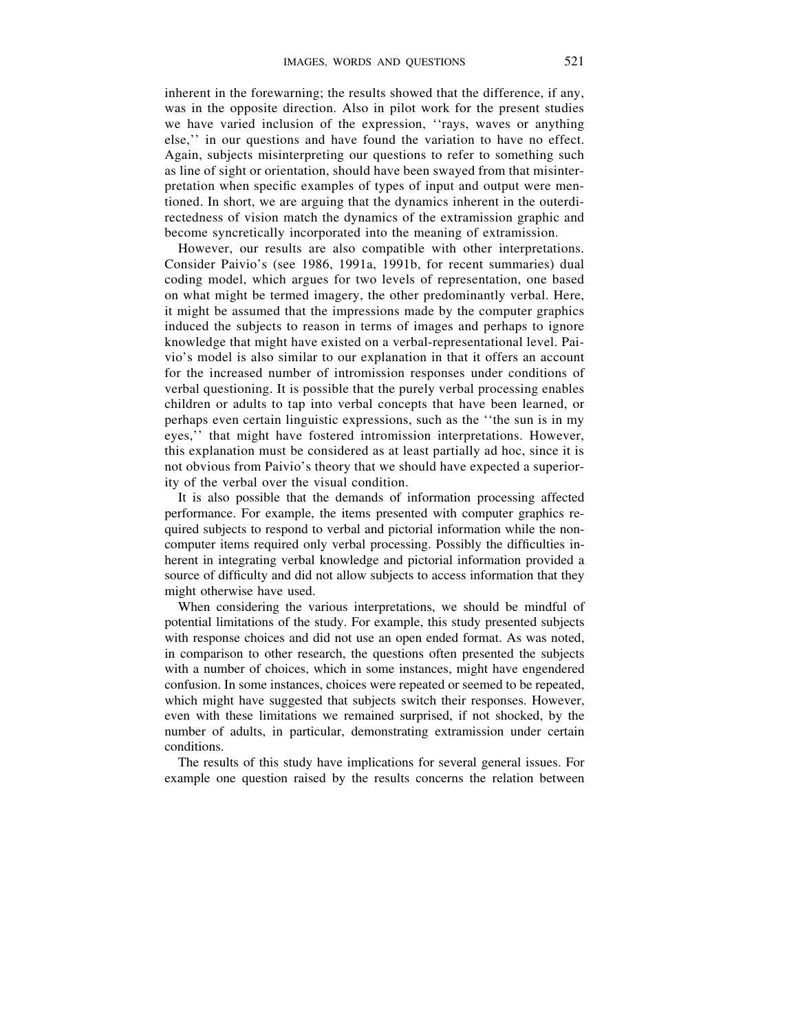inherent in the forewarning; the results showed that the difference, if any, was in the opposite direction. Also in pilot work for the present studies we have varied inclusion of the expression, "rays, waves or anything else,'' in our questions and have found the variation to have no effect. Again, subjects misinterpreting our questions to refer to something such as line of sight or orientation, should have been swayed from that misinterpretation when specific examples of types of input and output were mentioned. In short, we are arguing that the dynamics inherent in the outerdirectedness of vision match the dynamics of the extramission graphic and become syncretically incorporated into the meaning of extramission.

However, our results are also compatible with other interpretations. Consider Paivio's (see 1986, 1991a, 1991b, for recent summaries) dual coding model, which argues for two levels of representation, one based on what might be termed imagery, the other predominantly verbal. Here, it might be assumed that the impressions made by the computer graphics induced the subjects to reason in terms of images and perhaps to ignore knowledge that might have existed on a verbal-representational level. Paivio's model is also similar to our explanation in that it offers an account for the increased number of intromission responses under conditions of verbal questioning. It is possible that the purely verbal processing enables children or adults to tap into verbal concepts that have been learned, or perhaps even certain linguistic expressions, such as the ''the sun is in my eyes,'' that might have fostered intromission interpretations. However, this explanation must be considered as at least partially ad hoc, since it is not obvious from Paivio's theory that we should have expected a superiority of the verbal over the visual condition.

It is also possible that the demands of information processing affected performance. For example, the items presented with computer graphics required subjects to respond to verbal and pictorial information while the noncomputer items required only verbal processing. Possibly the difficulties inherent in integrating verbal knowledge and pictorial information provided a source of difficulty and did not allow subjects to access information that they might otherwise have used.

When considering the various interpretations, we should be mindful of potential limitations of the study. For example, this study presented subjects with response choices and did not use an open ended format. As was noted, in comparison to other research, the questions often presented the subjects with a number of choices, which in some instances, might have engendered confusion. In some instances, choices were repeated or seemed to be repeated, which might have suggested that subjects switch their responses. However, even with these limitations we remained surprised, if not shocked, by the number of adults, in particular, demonstrating extramission under certain conditions.

The results of this study have implications for several general issues. For example one question raised by the results concerns the relation between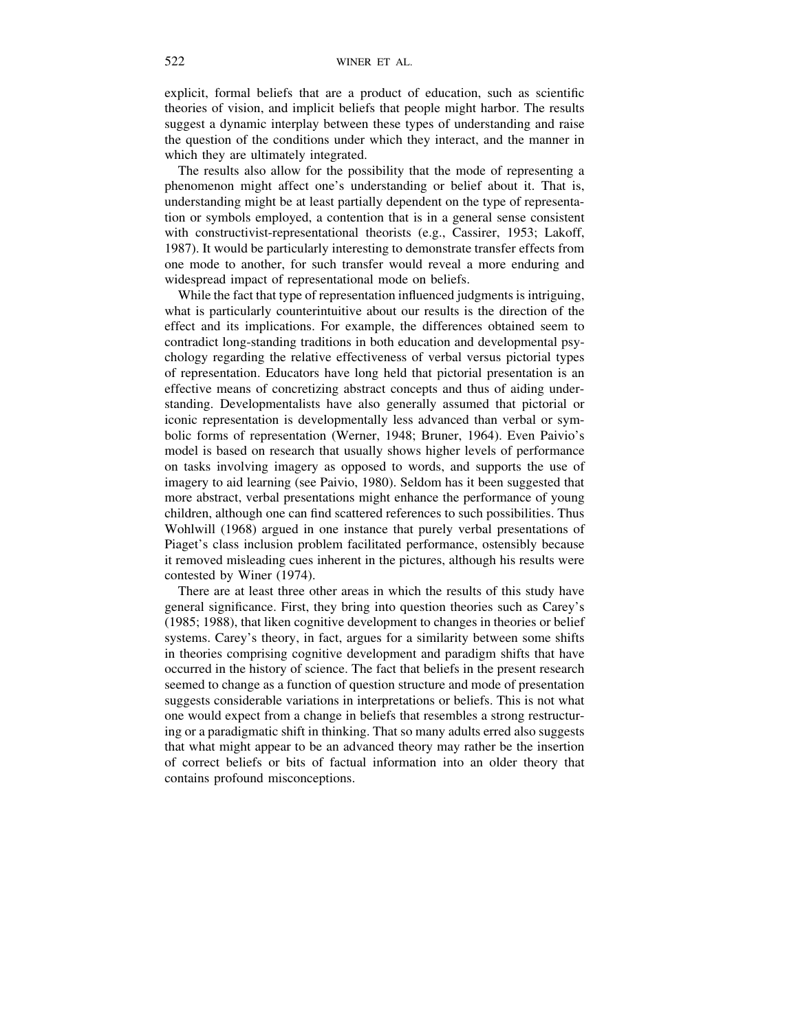explicit, formal beliefs that are a product of education, such as scientific theories of vision, and implicit beliefs that people might harbor. The results suggest a dynamic interplay between these types of understanding and raise the question of the conditions under which they interact, and the manner in which they are ultimately integrated.

The results also allow for the possibility that the mode of representing a phenomenon might affect one's understanding or belief about it. That is, understanding might be at least partially dependent on the type of representation or symbols employed, a contention that is in a general sense consistent with constructivist-representational theorists (e.g., Cassirer, 1953; Lakoff, 1987). It would be particularly interesting to demonstrate transfer effects from one mode to another, for such transfer would reveal a more enduring and widespread impact of representational mode on beliefs.

While the fact that type of representation influenced judgments is intriguing, what is particularly counterintuitive about our results is the direction of the effect and its implications. For example, the differences obtained seem to contradict long-standing traditions in both education and developmental psychology regarding the relative effectiveness of verbal versus pictorial types of representation. Educators have long held that pictorial presentation is an effective means of concretizing abstract concepts and thus of aiding understanding. Developmentalists have also generally assumed that pictorial or iconic representation is developmentally less advanced than verbal or symbolic forms of representation (Werner, 1948; Bruner, 1964). Even Paivio's model is based on research that usually shows higher levels of performance on tasks involving imagery as opposed to words, and supports the use of imagery to aid learning (see Paivio, 1980). Seldom has it been suggested that more abstract, verbal presentations might enhance the performance of young children, although one can find scattered references to such possibilities. Thus Wohlwill (1968) argued in one instance that purely verbal presentations of Piaget's class inclusion problem facilitated performance, ostensibly because it removed misleading cues inherent in the pictures, although his results were contested by Winer (1974).

There are at least three other areas in which the results of this study have general significance. First, they bring into question theories such as Carey's (1985; 1988), that liken cognitive development to changes in theories or belief systems. Carey's theory, in fact, argues for a similarity between some shifts in theories comprising cognitive development and paradigm shifts that have occurred in the history of science. The fact that beliefs in the present research seemed to change as a function of question structure and mode of presentation suggests considerable variations in interpretations or beliefs. This is not what one would expect from a change in beliefs that resembles a strong restructuring or a paradigmatic shift in thinking. That so many adults erred also suggests that what might appear to be an advanced theory may rather be the insertion of correct beliefs or bits of factual information into an older theory that contains profound misconceptions.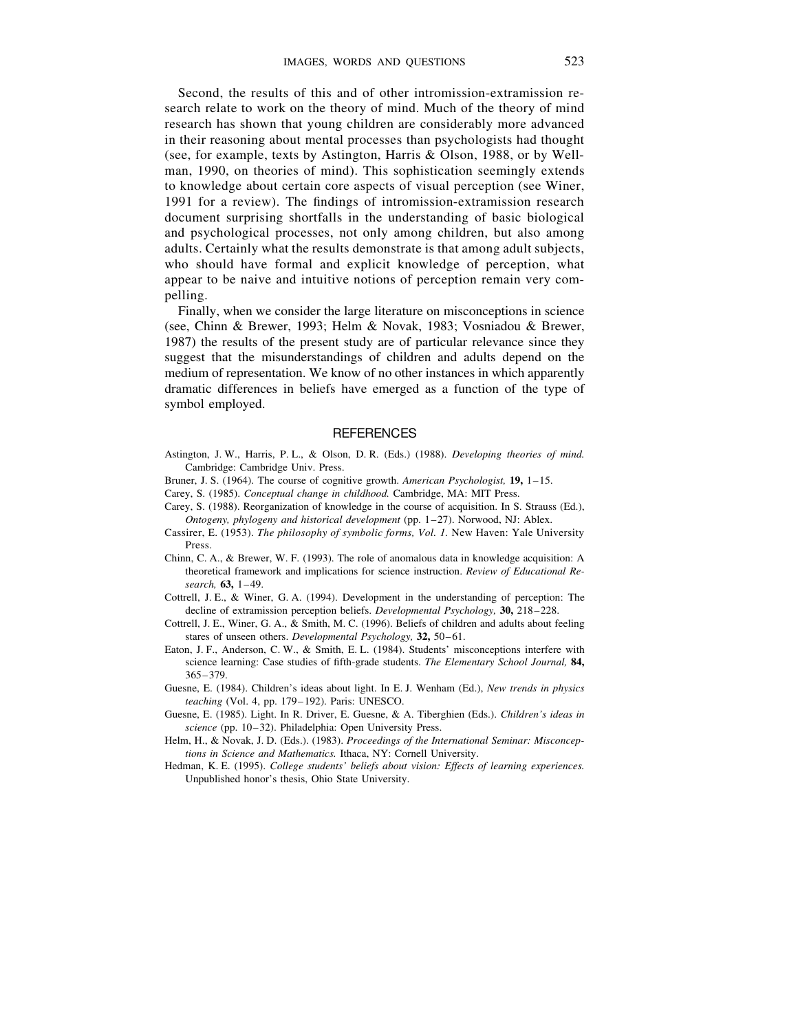Second, the results of this and of other intromission-extramission research relate to work on the theory of mind. Much of the theory of mind research has shown that young children are considerably more advanced in their reasoning about mental processes than psychologists had thought (see, for example, texts by Astington, Harris & Olson, 1988, or by Wellman, 1990, on theories of mind). This sophistication seemingly extends to knowledge about certain core aspects of visual perception (see Winer, 1991 for a review). The findings of intromission-extramission research document surprising shortfalls in the understanding of basic biological and psychological processes, not only among children, but also among adults. Certainly what the results demonstrate is that among adult subjects, who should have formal and explicit knowledge of perception, what appear to be naive and intuitive notions of perception remain very compelling.

Finally, when we consider the large literature on misconceptions in science (see, Chinn & Brewer, 1993; Helm & Novak, 1983; Vosniadou & Brewer, 1987) the results of the present study are of particular relevance since they suggest that the misunderstandings of children and adults depend on the medium of representation. We know of no other instances in which apparently dramatic differences in beliefs have emerged as a function of the type of symbol employed.

#### **REFERENCES**

- Astington, J. W., Harris, P. L., & Olson, D. R. (Eds.) (1988). *Developing theories of mind.* Cambridge: Cambridge Univ. Press.
- Bruner, J. S. (1964). The course of cognitive growth. *American Psychologist,* **19,** 1–15.
- Carey, S. (1985). *Conceptual change in childhood.* Cambridge, MA: MIT Press.
- Carey, S. (1988). Reorganization of knowledge in the course of acquisition. In S. Strauss (Ed.), *Ontogeny, phylogeny and historical development* (pp. 1–27). Norwood, NJ: Ablex.
- Cassirer, E. (1953). *The philosophy of symbolic forms, Vol. 1.* New Haven: Yale University Press.
- Chinn, C. A., & Brewer, W. F. (1993). The role of anomalous data in knowledge acquisition: A theoretical framework and implications for science instruction. *Review of Educational Research,* **63,** 1–49.
- Cottrell, J. E., & Winer, G. A. (1994). Development in the understanding of perception: The decline of extramission perception beliefs. *Developmental Psychology,* **30,** 218–228.
- Cottrell, J. E., Winer, G. A., & Smith, M. C. (1996). Beliefs of children and adults about feeling stares of unseen others. *Developmental Psychology,* **32,** 50–61.
- Eaton, J. F., Anderson, C. W., & Smith, E. L. (1984). Students' misconceptions interfere with science learning: Case studies of fifth-grade students. *The Elementary School Journal,* **84,** 365–379.
- Guesne, E. (1984). Children's ideas about light. In E. J. Wenham (Ed.), *New trends in physics teaching* (Vol. 4, pp. 179–192). Paris: UNESCO.
- Guesne, E. (1985). Light. In R. Driver, E. Guesne, & A. Tiberghien (Eds.). *Children's ideas in science* (pp. 10–32). Philadelphia: Open University Press.
- Helm, H., & Novak, J. D. (Eds.). (1983). *Proceedings of the International Seminar: Misconceptions in Science and Mathematics.* Ithaca, NY: Cornell University.
- Hedman, K. E. (1995). *College students' beliefs about vision: Effects of learning experiences.* Unpublished honor's thesis, Ohio State University.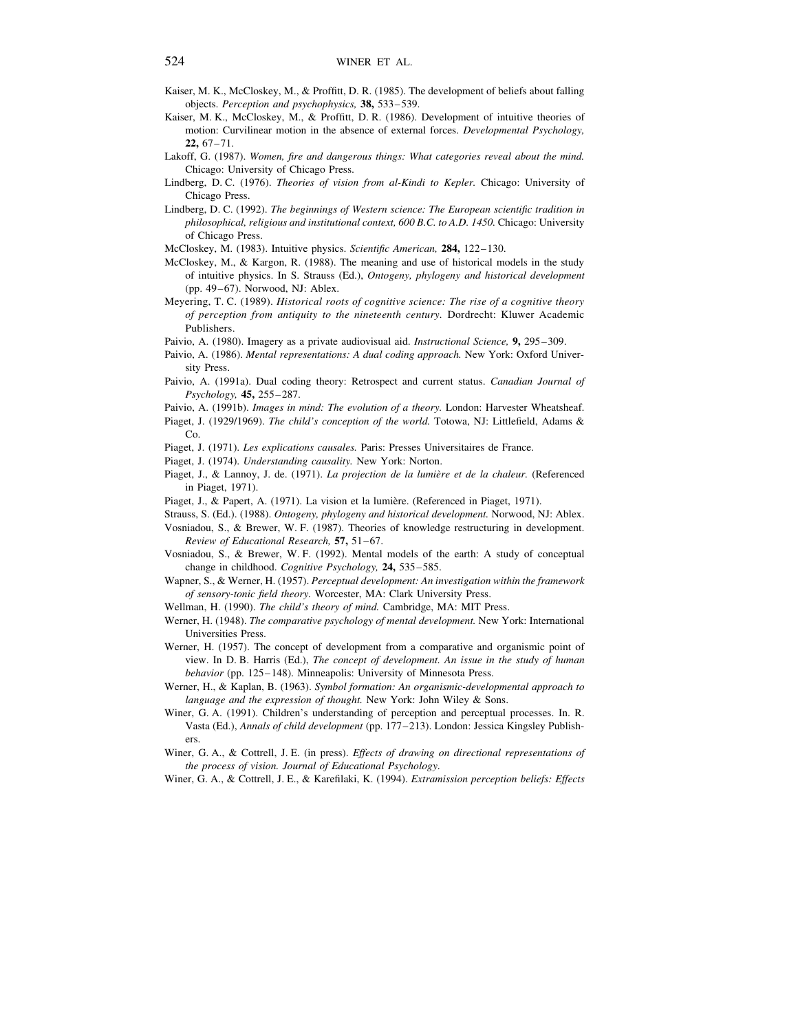- Kaiser, M. K., McCloskey, M., & Proffitt, D. R. (1985). The development of beliefs about falling objects. *Perception and psychophysics,* **38,** 533–539.
- Kaiser, M. K., McCloskey, M., & Proffitt, D. R. (1986). Development of intuitive theories of motion: Curvilinear motion in the absence of external forces. *Developmental Psychology,* **22,** 67–71.
- Lakoff, G. (1987). *Women, fire and dangerous things: What categories reveal about the mind.* Chicago: University of Chicago Press.
- Lindberg, D. C. (1976). *Theories of vision from al-Kindi to Kepler.* Chicago: University of Chicago Press.
- Lindberg, D. C. (1992). *The beginnings of Western science: The European scientific tradition in philosophical, religious and institutional context, 600 B.C. to A.D. 1450.* Chicago: University of Chicago Press.
- McCloskey, M. (1983). Intuitive physics. *Scientific American,* **284,** 122–130.
- McCloskey, M., & Kargon, R. (1988). The meaning and use of historical models in the study of intuitive physics. In S. Strauss (Ed.), *Ontogeny, phylogeny and historical development* (pp. 49–67). Norwood, NJ: Ablex.
- Meyering, T. C. (1989). *Historical roots of cognitive science: The rise of a cognitive theory of perception from antiquity to the nineteenth century.* Dordrecht: Kluwer Academic Publishers.
- Paivio, A. (1980). Imagery as a private audiovisual aid. *Instructional Science,* **9,** 295–309.
- Paivio, A. (1986). *Mental representations: A dual coding approach.* New York: Oxford University Press.
- Paivio, A. (1991a). Dual coding theory: Retrospect and current status. *Canadian Journal of Psychology,* **45,** 255–287.
- Paivio, A. (1991b). *Images in mind: The evolution of a theory.* London: Harvester Wheatsheaf.
- Piaget, J. (1929/1969). *The child's conception of the world.* Totowa, NJ: Littlefield, Adams & Co.
- Piaget, J. (1971). *Les explications causales.* Paris: Presses Universitaires de France.
- Piaget, J. (1974). *Understanding causality.* New York: Norton.
- Piaget, J., & Lannoy, J. de. (1971). *La projection de la lumière et de la chaleur*. (Referenced in Piaget, 1971).
- Piaget, J., & Papert, A. (1971). La vision et la lumière. (Referenced in Piaget, 1971).
- Strauss, S. (Ed.). (1988). *Ontogeny, phylogeny and historical development.* Norwood, NJ: Ablex.
- Vosniadou, S., & Brewer, W. F. (1987). Theories of knowledge restructuring in development. *Review of Educational Research,* **57,** 51–67.
- Vosniadou, S., & Brewer, W. F. (1992). Mental models of the earth: A study of conceptual change in childhood. *Cognitive Psychology,* **24,** 535–585.
- Wapner, S., & Werner, H. (1957). *Perceptual development: An investigation within the framework of sensory-tonic field theory.* Worcester, MA: Clark University Press.
- Wellman, H. (1990). *The child's theory of mind.* Cambridge, MA: MIT Press.
- Werner, H. (1948). *The comparative psychology of mental development.* New York: International Universities Press.
- Werner, H. (1957). The concept of development from a comparative and organismic point of view. In D. B. Harris (Ed.), *The concept of development. An issue in the study of human behavior* (pp. 125–148). Minneapolis: University of Minnesota Press.
- Werner, H., & Kaplan, B. (1963). *Symbol formation: An organismic-developmental approach to language and the expression of thought.* New York: John Wiley & Sons.
- Winer, G. A. (1991). Children's understanding of perception and perceptual processes. In. R. Vasta (Ed.), *Annals of child development* (pp. 177–213). London: Jessica Kingsley Publishers.
- Winer, G. A., & Cottrell, J. E. (in press). *Effects of drawing on directional representations of the process of vision. Journal of Educational Psychology*.
- Winer, G. A., & Cottrell, J. E., & Karefilaki, K. (1994). *Extramission perception beliefs: Effects*